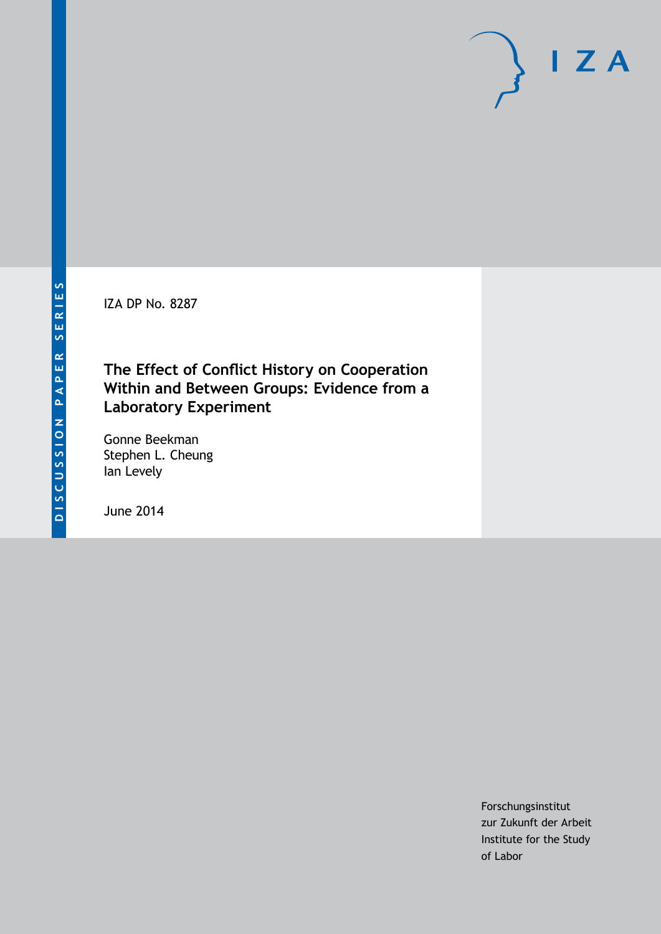IZA DP No. 8287

## **The Effect of Conflict History on Cooperation Within and Between Groups: Evidence from a Laboratory Experiment**

Gonne Beekman Stephen L. Cheung Ian Levely

June 2014

Forschungsinstitut zur Zukunft der Arbeit Institute for the Study of Labor

 $I Z A$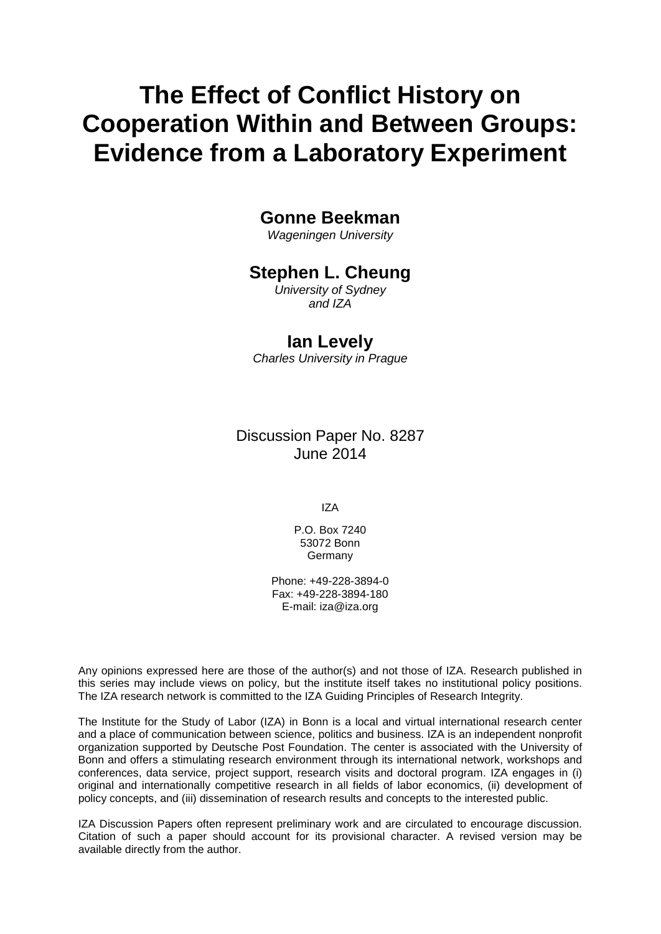# **The Effect of Conflict History on Cooperation Within and Between Groups: Evidence from a Laboratory Experiment**

## **Gonne Beekman**

*Wageningen University*

## **Stephen L. Cheung**

*University of Sydney and IZA*

### **Ian Levely**

*Charles University in Prague*

Discussion Paper No. 8287 June 2014

IZA

P.O. Box 7240 53072 Bonn **Germany** 

Phone: +49-228-3894-0 Fax: +49-228-3894-180 E-mail: [iza@iza.org](mailto:iza@iza.org)

Any opinions expressed here are those of the author(s) and not those of IZA. Research published in this series may include views on policy, but the institute itself takes no institutional policy positions. The IZA research network is committed to the IZA Guiding Principles of Research Integrity.

The Institute for the Study of Labor (IZA) in Bonn is a local and virtual international research center and a place of communication between science, politics and business. IZA is an independent nonprofit organization supported by Deutsche Post Foundation. The center is associated with the University of Bonn and offers a stimulating research environment through its international network, workshops and conferences, data service, project support, research visits and doctoral program. IZA engages in (i) original and internationally competitive research in all fields of labor economics, (ii) development of policy concepts, and (iii) dissemination of research results and concepts to the interested public.

<span id="page-1-0"></span>IZA Discussion Papers often represent preliminary work and are circulated to encourage discussion. Citation of such a paper should account for its provisional character. A revised version may be available directly from the author.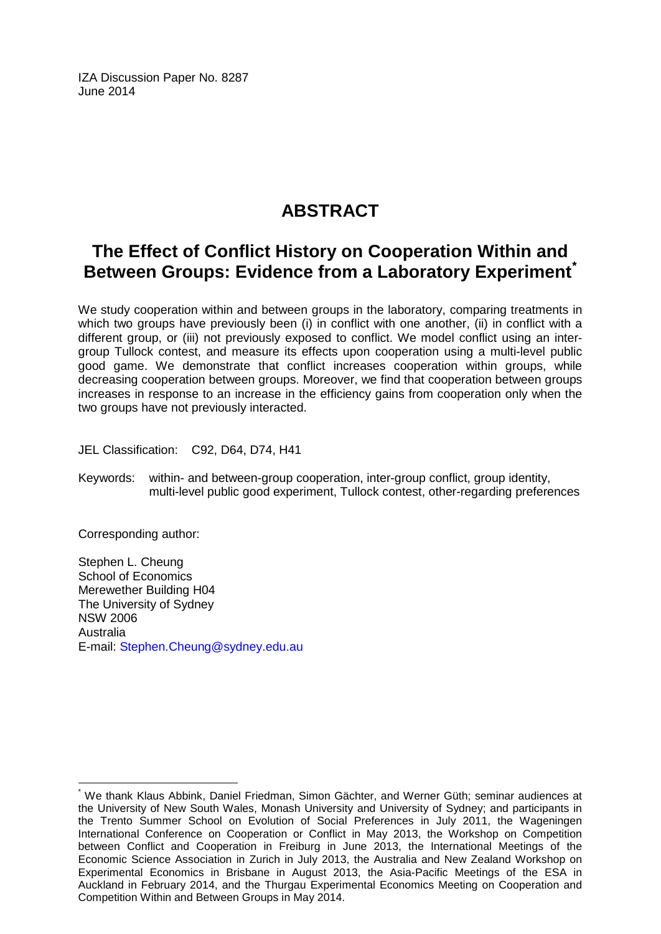IZA Discussion Paper No. 8287 June 2014

# **ABSTRACT**

## **The Effect of Conflict History on Cooperation Within and Between Groups: Evidence from a Laboratory Experiment[\\*](#page-1-0)**

We study cooperation within and between groups in the laboratory, comparing treatments in which two groups have previously been (i) in conflict with one another, (ii) in conflict with a different group, or (iii) not previously exposed to conflict. We model conflict using an intergroup Tullock contest, and measure its effects upon cooperation using a multi-level public good game. We demonstrate that conflict increases cooperation within groups, while decreasing cooperation between groups. Moreover, we find that cooperation between groups increases in response to an increase in the efficiency gains from cooperation only when the two groups have not previously interacted.

JEL Classification: C92, D64, D74, H41

Keywords: within- and between-group cooperation, inter-group conflict, group identity, multi-level public good experiment, Tullock contest, other-regarding preferences

Corresponding author:

Stephen L. Cheung School of Economics Merewether Building H04 The University of Sydney NSW 2006 Australia E-mail: [Stephen.Cheung@sydney.edu.au](mailto:Stephen.Cheung@sydney.edu.au)

\* We thank Klaus Abbink, Daniel Friedman, Simon Gächter, and Werner Güth; seminar audiences at the University of New South Wales, Monash University and University of Sydney; and participants in the Trento Summer School on Evolution of Social Preferences in July 2011, the Wageningen International Conference on Cooperation or Conflict in May 2013, the Workshop on Competition between Conflict and Cooperation in Freiburg in June 2013, the International Meetings of the Economic Science Association in Zurich in July 2013, the Australia and New Zealand Workshop on Experimental Economics in Brisbane in August 2013, the Asia-Pacific Meetings of the ESA in Auckland in February 2014, and the Thurgau Experimental Economics Meeting on Cooperation and Competition Within and Between Groups in May 2014.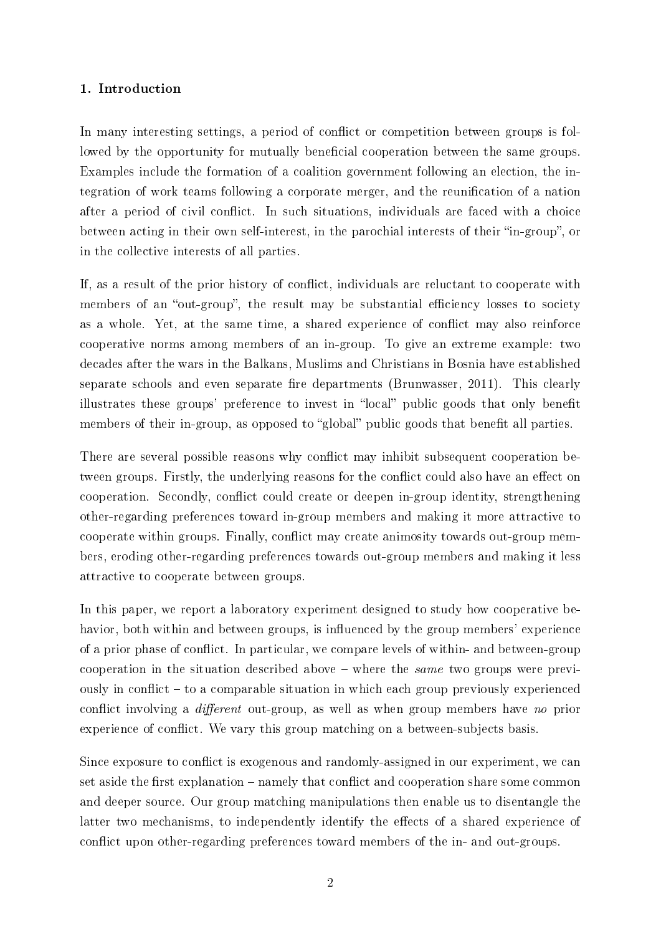### 1. Introduction

In many interesting settings, a period of conflict or competition between groups is followed by the opportunity for mutually beneficial cooperation between the same groups. Examples include the formation of a coalition government following an election, the integration of work teams following a corporate merger, and the reunication of a nation after a period of civil conflict. In such situations, individuals are faced with a choice between acting in their own self-interest, in the parochial interests of their "in-group", or in the collective interests of all parties.

If, as a result of the prior history of conflict, individuals are reluctant to cooperate with members of an "out-group", the result may be substantial efficiency losses to society as a whole. Yet, at the same time, a shared experience of conflict may also reinforce cooperative norms among members of an in-group. To give an extreme example: two decades after the wars in the Balkans, Muslims and Christians in Bosnia have established separate schools and even separate fire departments (Brunwasser, 2011). This clearly illustrates these groups' preference to invest in "local" public goods that only benefit members of their in-group, as opposed to "global" public goods that benefit all parties.

There are several possible reasons why conflict may inhibit subsequent cooperation between groups. Firstly, the underlying reasons for the conflict could also have an effect on cooperation. Secondly, conflict could create or deepen in-group identity, strengthening other-regarding preferences toward in-group members and making it more attractive to cooperate within groups. Finally, conflict may create animosity towards out-group members, eroding other-regarding preferences towards out-group members and making it less attractive to cooperate between groups.

In this paper, we report a laboratory experiment designed to study how cooperative behavior, both within and between groups, is influenced by the group members' experience of a prior phase of conflict. In particular, we compare levels of within- and between-group cooperation in the situation described above  $\overline{\phantom{a}}$  where the same two groups were previously in conflict  $-$  to a comparable situation in which each group previously experienced conflict involving a *different* out-group, as well as when group members have no prior experience of conflict. We vary this group matching on a between-subjects basis.

Since exposure to conflict is exogenous and randomly-assigned in our experiment, we can set aside the first explanation – namely that conflict and cooperation share some common and deeper source. Our group matching manipulations then enable us to disentangle the latter two mechanisms, to independently identify the effects of a shared experience of conflict upon other-regarding preferences toward members of the in- and out-groups.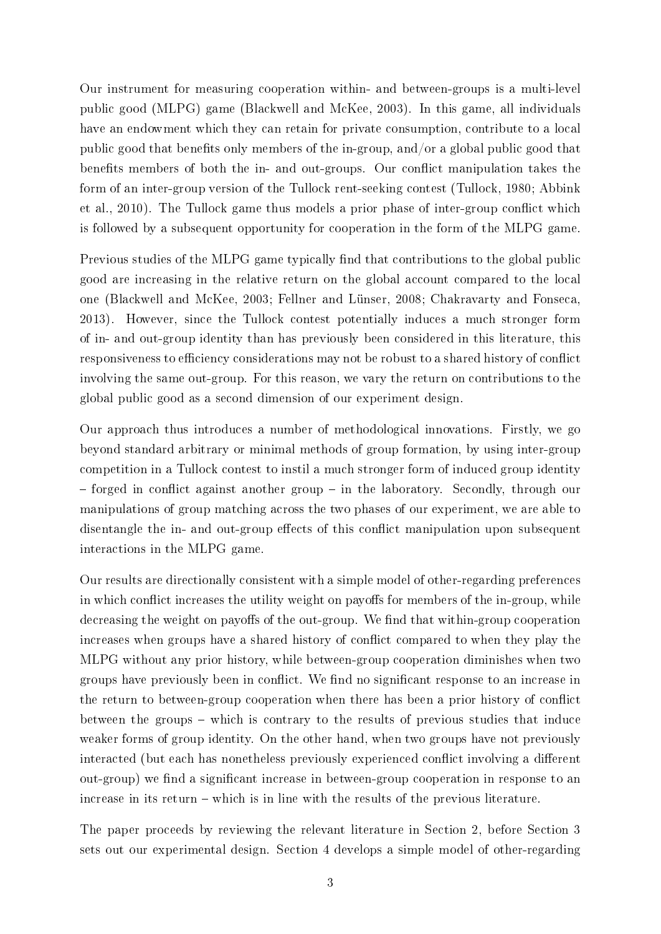Our instrument for measuring cooperation within- and between-groups is a multi-level public good (MLPG) game (Blackwell and McKee, 2003). In this game, all individuals have an endowment which they can retain for private consumption, contribute to a local public good that benets only members of the in-group, and/or a global public good that benefits members of both the in- and out-groups. Our conflict manipulation takes the form of an inter-group version of the Tullock rent-seeking contest (Tullock, 1980; Abbink et al., 2010). The Tullock game thus models a prior phase of inter-group conflict which is followed by a subsequent opportunity for cooperation in the form of the MLPG game.

Previous studies of the MLPG game typically find that contributions to the global public good are increasing in the relative return on the global account compared to the local one (Blackwell and McKee, 2003; Fellner and Lünser, 2008; Chakravarty and Fonseca, 2013). However, since the Tullock contest potentially induces a much stronger form of in- and out-group identity than has previously been considered in this literature, this responsiveness to efficiency considerations may not be robust to a shared history of conflict involving the same out-group. For this reason, we vary the return on contributions to the global public good as a second dimension of our experiment design.

Our approach thus introduces a number of methodological innovations. Firstly, we go beyond standard arbitrary or minimal methods of group formation, by using inter-group competition in a Tullock contest to instil a much stronger form of induced group identity  $f$  - forged in conflict against another group  $-$  in the laboratory. Secondly, through our manipulations of group matching across the two phases of our experiment, we are able to disentangle the in- and out-group effects of this conflict manipulation upon subsequent interactions in the MLPG game.

Our results are directionally consistent with a simple model of other-regarding preferences in which conflict increases the utility weight on payoffs for members of the in-group, while decreasing the weight on payoffs of the out-group. We find that within-group cooperation increases when groups have a shared history of conflict compared to when they play the MLPG without any prior history, while between-group cooperation diminishes when two groups have previously been in conflict. We find no significant response to an increase in the return to between-group cooperation when there has been a prior history of conflict between the groups  $-$  which is contrary to the results of previous studies that induce weaker forms of group identity. On the other hand, when two groups have not previously interacted (but each has nonetheless previously experienced conflict involving a different out-group) we find a significant increase in between-group cooperation in response to an increase in its return – which is in line with the results of the previous literature.

The paper proceeds by reviewing the relevant literature in Section 2, before Section 3 sets out our experimental design. Section 4 develops a simple model of other-regarding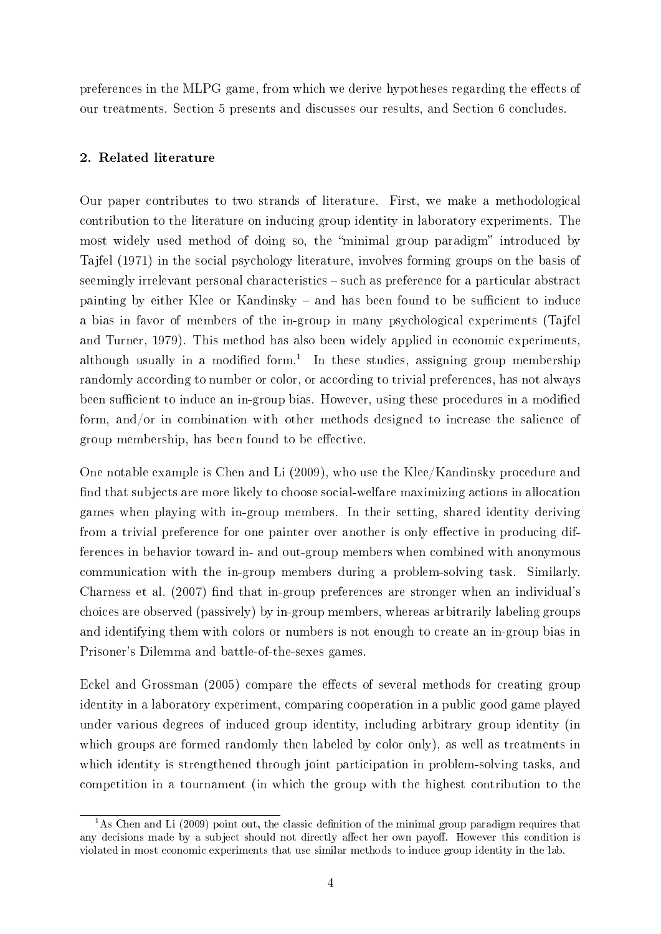preferences in the MLPG game, from which we derive hypotheses regarding the effects of our treatments. Section 5 presents and discusses our results, and Section 6 concludes.

### 2. Related literature

Our paper contributes to two strands of literature. First, we make a methodological contribution to the literature on inducing group identity in laboratory experiments. The most widely used method of doing so, the "minimal group paradigm" introduced by Tajfel (1971) in the social psychology literature, involves forming groups on the basis of seemingly irrelevant personal characteristics  $-$  such as preference for a particular abstract painting by either Klee or Kandinsky – and has been found to be sufficient to induce a bias in favor of members of the in-group in many psychological experiments (Tajfel and Turner, 1979). This method has also been widely applied in economic experiments, although usually in a modified form.<sup>1</sup> In these studies, assigning group membership randomly according to number or color, or according to trivial preferences, has not always been sufficient to induce an in-group bias. However, using these procedures in a modified form, and/or in combination with other methods designed to increase the salience of group membership, has been found to be effective.

One notable example is Chen and Li (2009), who use the Klee/Kandinsky procedure and nd that subjects are more likely to choose social-welfare maximizing actions in allocation games when playing with in-group members. In their setting, shared identity deriving from a trivial preference for one painter over another is only effective in producing differences in behavior toward in- and out-group members when combined with anonymous communication with the in-group members during a problem-solving task. Similarly, Charness et al. (2007) find that in-group preferences are stronger when an individual's choices are observed (passively) by in-group members, whereas arbitrarily labeling groups and identifying them with colors or numbers is not enough to create an in-group bias in Prisoner's Dilemma and battle-of-the-sexes games.

Eckel and Grossman (2005) compare the effects of several methods for creating group identity in a laboratory experiment, comparing cooperation in a public good game played under various degrees of induced group identity, including arbitrary group identity (in which groups are formed randomly then labeled by color only), as well as treatments in which identity is strengthened through joint participation in problem-solving tasks, and competition in a tournament (in which the group with the highest contribution to the

 $1<sup>1</sup>$ As Chen and Li (2009) point out, the classic definition of the minimal group paradigm requires that any decisions made by a subject should not directly affect her own payoff. However this condition is violated in most economic experiments that use similar methods to induce group identity in the lab.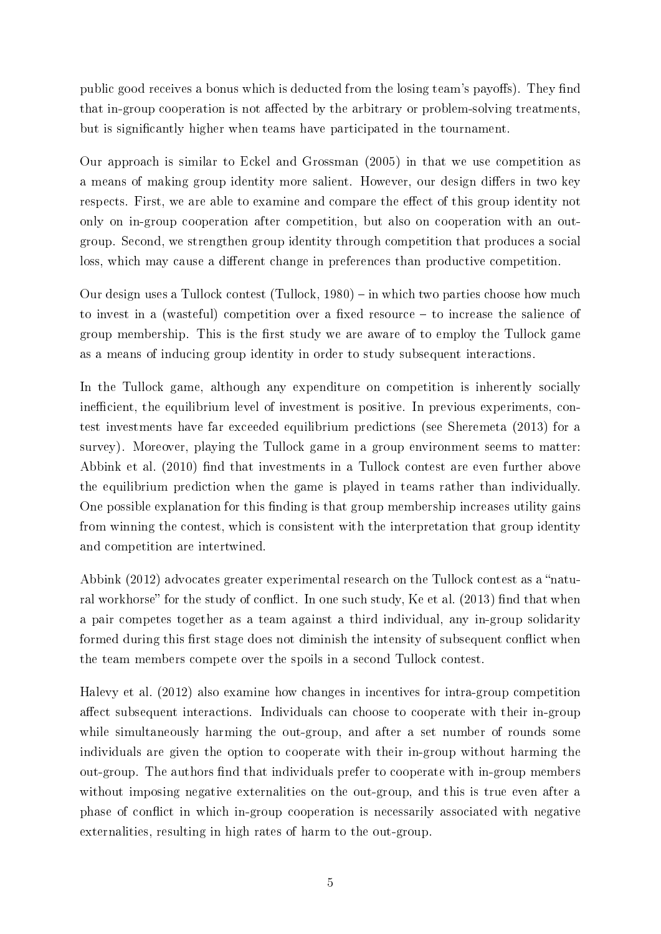public good receives a bonus which is deducted from the losing team's payoffs). They find that in-group cooperation is not affected by the arbitrary or problem-solving treatments, but is signicantly higher when teams have participated in the tournament.

Our approach is similar to Eckel and Grossman (2005) in that we use competition as a means of making group identity more salient. However, our design differs in two key respects. First, we are able to examine and compare the effect of this group identity not only on in-group cooperation after competition, but also on cooperation with an outgroup. Second, we strengthen group identity through competition that produces a social loss, which may cause a different change in preferences than productive competition.

Our design uses a Tullock contest (Tullock, 1980) – in which two parties choose how much to invest in a (wasteful) competition over a fixed resource  $-$  to increase the salience of group membership. This is the first study we are aware of to employ the Tullock game as a means of inducing group identity in order to study subsequent interactions.

In the Tullock game, although any expenditure on competition is inherently socially inefficient, the equilibrium level of investment is positive. In previous experiments, contest investments have far exceeded equilibrium predictions (see Sheremeta (2013) for a survey). Moreover, playing the Tullock game in a group environment seems to matter: Abbink et al. (2010) find that investments in a Tullock contest are even further above the equilibrium prediction when the game is played in teams rather than individually. One possible explanation for this finding is that group membership increases utility gains from winning the contest, which is consistent with the interpretation that group identity and competition are intertwined.

Abbink  $(2012)$  advocates greater experimental research on the Tullock contest as a "natural workhorse" for the study of conflict. In one such study, Ke et al. (2013) find that when a pair competes together as a team against a third individual, any in-group solidarity formed during this first stage does not diminish the intensity of subsequent conflict when the team members compete over the spoils in a second Tullock contest.

Halevy et al. (2012) also examine how changes in incentives for intra-group competition affect subsequent interactions. Individuals can choose to cooperate with their in-group while simultaneously harming the out-group, and after a set number of rounds some individuals are given the option to cooperate with their in-group without harming the out-group. The authors find that individuals prefer to cooperate with in-group members without imposing negative externalities on the out-group, and this is true even after a phase of conflict in which in-group cooperation is necessarily associated with negative externalities, resulting in high rates of harm to the out-group.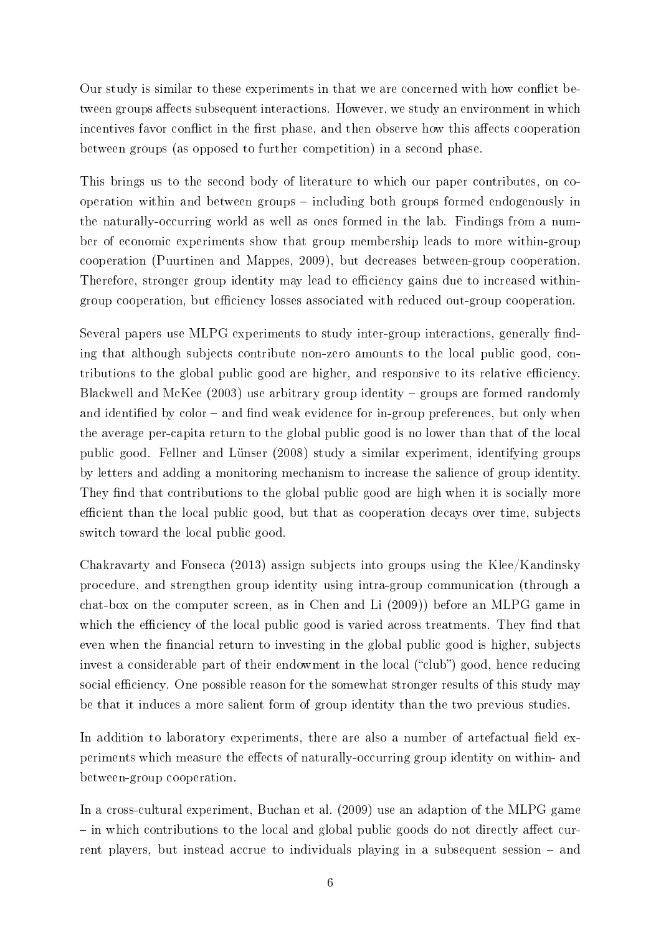Our study is similar to these experiments in that we are concerned with how conflict between groups affects subsequent interactions. However, we study an environment in which incentives favor conflict in the first phase, and then observe how this affects cooperation between groups (as opposed to further competition) in a second phase.

This brings us to the second body of literature to which our paper contributes, on cooperation within and between groups  $-$  including both groups formed endogenously in the naturally-occurring world as well as ones formed in the lab. Findings from a number of economic experiments show that group membership leads to more within-group cooperation (Puurtinen and Mappes, 2009), but decreases between-group cooperation. Therefore, stronger group identity may lead to efficiency gains due to increased withingroup cooperation, but efficiency losses associated with reduced out-group cooperation.

Several papers use MLPG experiments to study inter-group interactions, generally finding that although subjects contribute non-zero amounts to the local public good, contributions to the global public good are higher, and responsive to its relative efficiency. Blackwell and McKee  $(2003)$  use arbitrary group identity  $-$  groups are formed randomly and identified by  $color - and find weak evidence for in-group preferences, but only when$ the average per-capita return to the global public good is no lower than that of the local public good. Fellner and Lünser (2008) study a similar experiment, identifying groups by letters and adding a monitoring mechanism to increase the salience of group identity. They find that contributions to the global public good are high when it is socially more efficient than the local public good, but that as cooperation decays over time, subjects switch toward the local public good.

Chakravarty and Fonseca (2013) assign subjects into groups using the Klee/Kandinsky procedure, and strengthen group identity using intra-group communication (through a chat-box on the computer screen, as in Chen and Li (2009)) before an MLPG game in which the efficiency of the local public good is varied across treatments. They find that even when the financial return to investing in the global public good is higher, subjects invest a considerable part of their endowment in the local ("club") good, hence reducing social efficiency. One possible reason for the somewhat stronger results of this study may be that it induces a more salient form of group identity than the two previous studies.

In addition to laboratory experiments, there are also a number of artefactual field experiments which measure the effects of naturally-occurring group identity on within- and between-group cooperation.

In a cross-cultural experiment, Buchan et al. (2009) use an adaption of the MLPG game  $\overline{\phantom{a}}$  in which contributions to the local and global public goods do not directly affect current players, but instead accrue to individuals playing in a subsequent session – and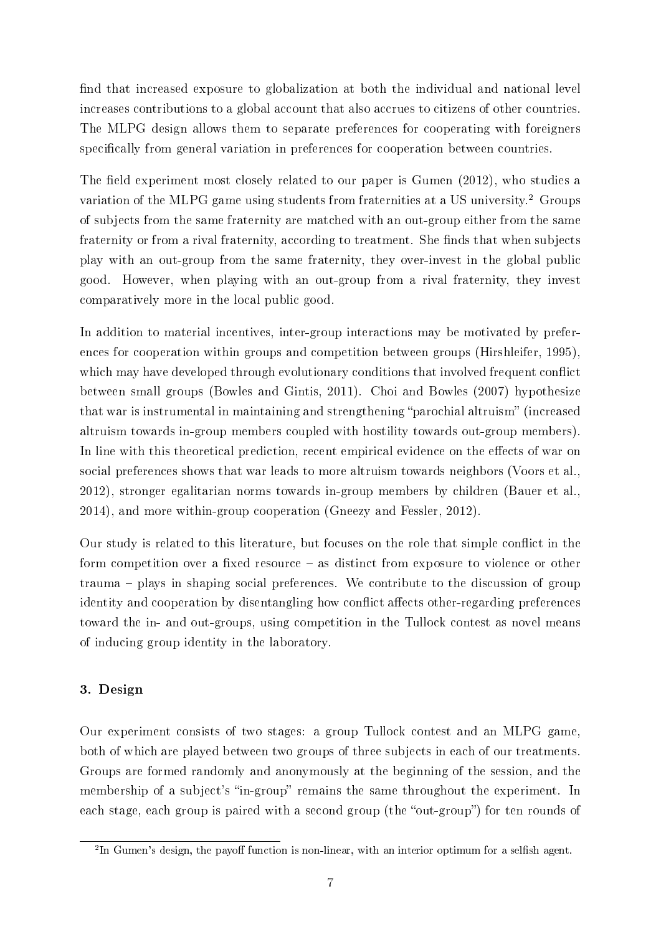find that increased exposure to globalization at both the individual and national level increases contributions to a global account that also accrues to citizens of other countries. The MLPG design allows them to separate preferences for cooperating with foreigners specifically from general variation in preferences for cooperation between countries.

The field experiment most closely related to our paper is Gumen  $(2012)$ , who studies a variation of the MLPG game using students from fraternities at a US university.<sup>2</sup> Groups of subjects from the same fraternity are matched with an out-group either from the same fraternity or from a rival fraternity, according to treatment. She finds that when subjects play with an out-group from the same fraternity, they over-invest in the global public good. However, when playing with an out-group from a rival fraternity, they invest comparatively more in the local public good.

In addition to material incentives, inter-group interactions may be motivated by preferences for cooperation within groups and competition between groups (Hirshleifer, 1995), which may have developed through evolutionary conditions that involved frequent conflict between small groups (Bowles and Gintis, 2011). Choi and Bowles (2007) hypothesize that war is instrumental in maintaining and strengthening "parochial altruism" (increased altruism towards in-group members coupled with hostility towards out-group members). In line with this theoretical prediction, recent empirical evidence on the effects of war on social preferences shows that war leads to more altruism towards neighbors (Voors et al., 2012), stronger egalitarian norms towards in-group members by children (Bauer et al., 2014), and more within-group cooperation (Gneezy and Fessler, 2012).

Our study is related to this literature, but focuses on the role that simple conflict in the form competition over a fixed resource  $-$  as distinct from exposure to violence or other trauma – plays in shaping social preferences. We contribute to the discussion of group identity and cooperation by disentangling how conflict affects other-regarding preferences toward the in- and out-groups, using competition in the Tullock contest as novel means of inducing group identity in the laboratory.

### 3. Design

Our experiment consists of two stages: a group Tullock contest and an MLPG game, both of which are played between two groups of three subjects in each of our treatments. Groups are formed randomly and anonymously at the beginning of the session, and the membership of a subject's "in-group" remains the same throughout the experiment. In each stage, each group is paired with a second group (the "out-group") for ten rounds of

 ${}^{2}$ In Gumen's design, the payoff function is non-linear, with an interior optimum for a selfish agent.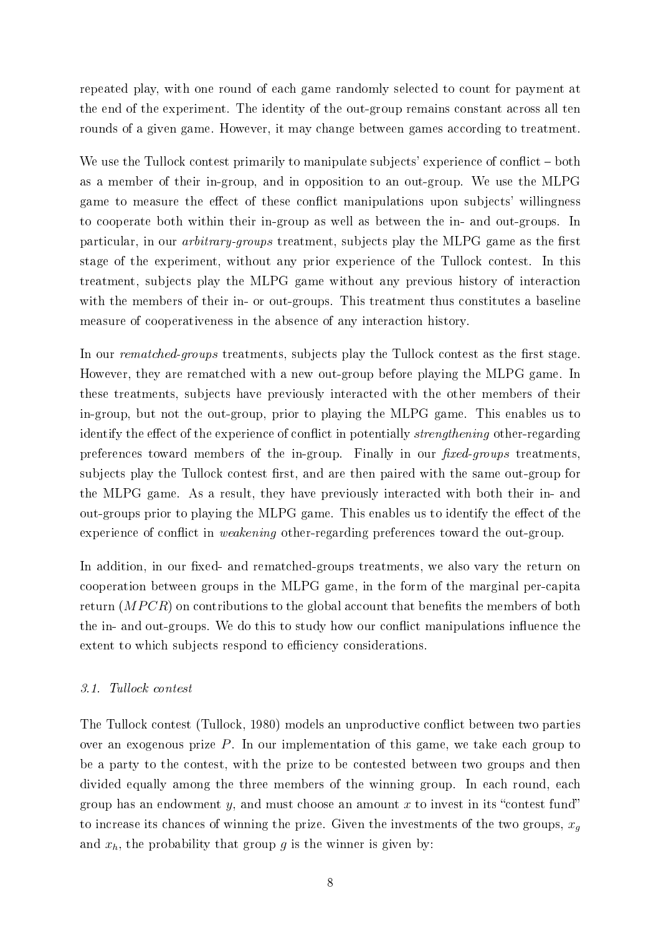repeated play, with one round of each game randomly selected to count for payment at the end of the experiment. The identity of the out-group remains constant across all ten rounds of a given game. However, it may change between games according to treatment.

We use the Tullock contest primarily to manipulate subjects' experience of conflict – both as a member of their in-group, and in opposition to an out-group. We use the MLPG game to measure the effect of these conflict manipulations upon subjects' willingness to cooperate both within their in-group as well as between the in- and out-groups. In particular, in our *arbitrary-groups* treatment, subjects play the MLPG game as the first stage of the experiment, without any prior experience of the Tullock contest. In this treatment, subjects play the MLPG game without any previous history of interaction with the members of their in- or out-groups. This treatment thus constitutes a baseline measure of cooperativeness in the absence of any interaction history.

In our *rematched-groups* treatments, subjects play the Tullock contest as the first stage. However, they are rematched with a new out-group before playing the MLPG game. In these treatments, subjects have previously interacted with the other members of their in-group, but not the out-group, prior to playing the MLPG game. This enables us to identify the effect of the experience of conflict in potentially *strengthening* other-regarding preferences toward members of the in-group. Finally in our *fixed-groups* treatments, subjects play the Tullock contest first, and are then paired with the same out-group for the MLPG game. As a result, they have previously interacted with both their in- and out-groups prior to playing the MLPG game. This enables us to identify the effect of the experience of conflict in *weakening* other-regarding preferences toward the out-group.

In addition, in our fixed- and rematched-groups treatments, we also vary the return on cooperation between groups in the MLPG game, in the form of the marginal per-capita return  $(MPCR)$  on contributions to the global account that benefits the members of both the in- and out-groups. We do this to study how our conflict manipulations influence the extent to which subjects respond to efficiency considerations.

### 3.1. Tullock contest

The Tullock contest (Tullock, 1980) models an unproductive conflict between two parties over an exogenous prize P. In our implementation of this game, we take each group to be a party to the contest, with the prize to be contested between two groups and then divided equally among the three members of the winning group. In each round, each group has an endowment y, and must choose an amount x to invest in its "contest fund" to increase its chances of winning the prize. Given the investments of the two groups,  $x_q$ and  $x_h$ , the probability that group g is the winner is given by: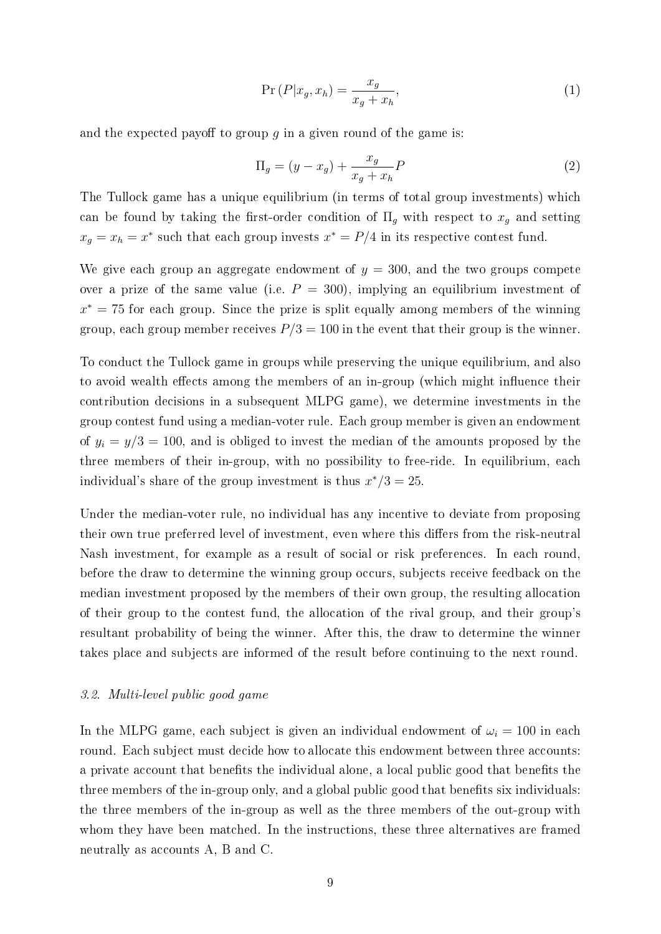$$
\Pr\left(P|x_g, x_h\right) = \frac{x_g}{x_g + x_h},\tag{1}
$$

and the expected payoff to group q in a given round of the game is:

$$
\Pi_g = (y - x_g) + \frac{x_g}{x_g + x_h} P \tag{2}
$$

The Tullock game has a unique equilibrium (in terms of total group investments) which can be found by taking the first-order condition of  $\Pi_q$  with respect to  $x_q$  and setting  $x_g = x_h = x^*$  such that each group invests  $x^* = P/4$  in its respective contest fund.

We give each group an aggregate endowment of  $y = 300$ , and the two groups compete over a prize of the same value (i.e.  $P = 300$ ), implying an equilibrium investment of  $x^* = 75$  for each group. Since the prize is split equally among members of the winning group, each group member receives  $P/3 = 100$  in the event that their group is the winner.

To conduct the Tullock game in groups while preserving the unique equilibrium, and also to avoid wealth effects among the members of an in-group (which might influence their contribution decisions in a subsequent MLPG game), we determine investments in the group contest fund using a median-voter rule. Each group member is given an endowment of  $y_i = y/3 = 100$ , and is obliged to invest the median of the amounts proposed by the three members of their in-group, with no possibility to free-ride. In equilibrium, each individual's share of the group investment is thus  $x^*/3 = 25$ .

Under the median-voter rule, no individual has any incentive to deviate from proposing their own true preferred level of investment, even where this differs from the risk-neutral Nash investment, for example as a result of social or risk preferences. In each round, before the draw to determine the winning group occurs, subjects receive feedback on the median investment proposed by the members of their own group, the resulting allocation of their group to the contest fund, the allocation of the rival group, and their group's resultant probability of being the winner. After this, the draw to determine the winner takes place and subjects are informed of the result before continuing to the next round.

#### 3.2. Multi-level public good game

In the MLPG game, each subject is given an individual endowment of  $\omega_i = 100$  in each round. Each subject must decide how to allocate this endowment between three accounts: a private account that benefits the individual alone, a local public good that benefits the three members of the in-group only, and a global public good that benefits six individuals: the three members of the in-group as well as the three members of the out-group with whom they have been matched. In the instructions, these three alternatives are framed neutrally as accounts A, B and C.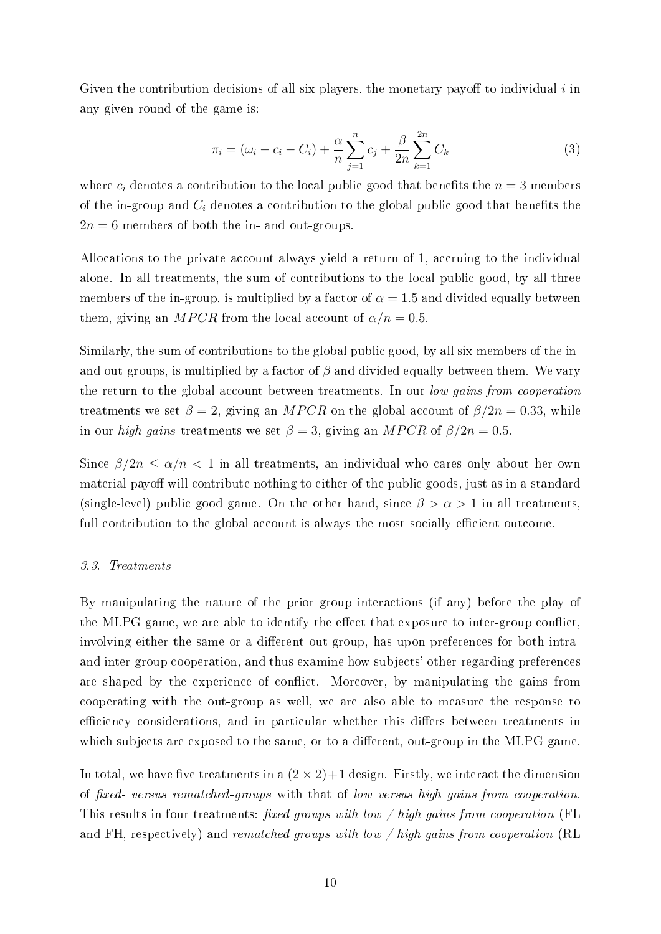Given the contribution decisions of all six players, the monetary payoff to individual  $i$  in any given round of the game is:

$$
\pi_i = (\omega_i - c_i - C_i) + \frac{\alpha}{n} \sum_{j=1}^n c_j + \frac{\beta}{2n} \sum_{k=1}^{2n} C_k
$$
\n(3)

where  $c_i$  denotes a contribution to the local public good that benefits the  $n = 3$  members of the in-group and  $C_i$  denotes a contribution to the global public good that benefits the  $2n = 6$  members of both the in- and out-groups.

Allocations to the private account always yield a return of 1, accruing to the individual alone. In all treatments, the sum of contributions to the local public good, by all three members of the in-group, is multiplied by a factor of  $\alpha = 1.5$  and divided equally between them, giving an MPCR from the local account of  $\alpha/n = 0.5$ .

Similarly, the sum of contributions to the global public good, by all six members of the inand out-groups, is multiplied by a factor of  $\beta$  and divided equally between them. We vary the return to the global account between treatments. In our low-gains-from-cooperation treatments we set  $\beta = 2$ , giving an MPCR on the global account of  $\beta/2n = 0.33$ , while in our high-gains treatments we set  $\beta = 3$ , giving an MPCR of  $\beta/2n = 0.5$ .

Since  $\beta/2n \leq \alpha/n < 1$  in all treatments, an individual who cares only about her own material payoff will contribute nothing to either of the public goods, just as in a standard (single-level) public good game. On the other hand, since  $\beta > \alpha > 1$  in all treatments, full contribution to the global account is always the most socially efficient outcome.

### 3.3. Treatments

By manipulating the nature of the prior group interactions (if any) before the play of the MLPG game, we are able to identify the effect that exposure to inter-group conflict, involving either the same or a different out-group, has upon preferences for both intraand inter-group cooperation, and thus examine how subjects' other-regarding preferences are shaped by the experience of conflict. Moreover, by manipulating the gains from cooperating with the out-group as well, we are also able to measure the response to efficiency considerations, and in particular whether this differs between treatments in which subjects are exposed to the same, or to a different, out-group in the MLPG game.

In total, we have five treatments in a  $(2 \times 2)+1$  design. Firstly, we interact the dimension of fixed- versus rematched-groups with that of low versus high gains from cooperation. This results in four treatments: fixed groups with low  $\ell$  high gains from cooperation (FL and FH, respectively) and rematched groups with low  $\frac{1}{n}$  high gains from cooperation (RL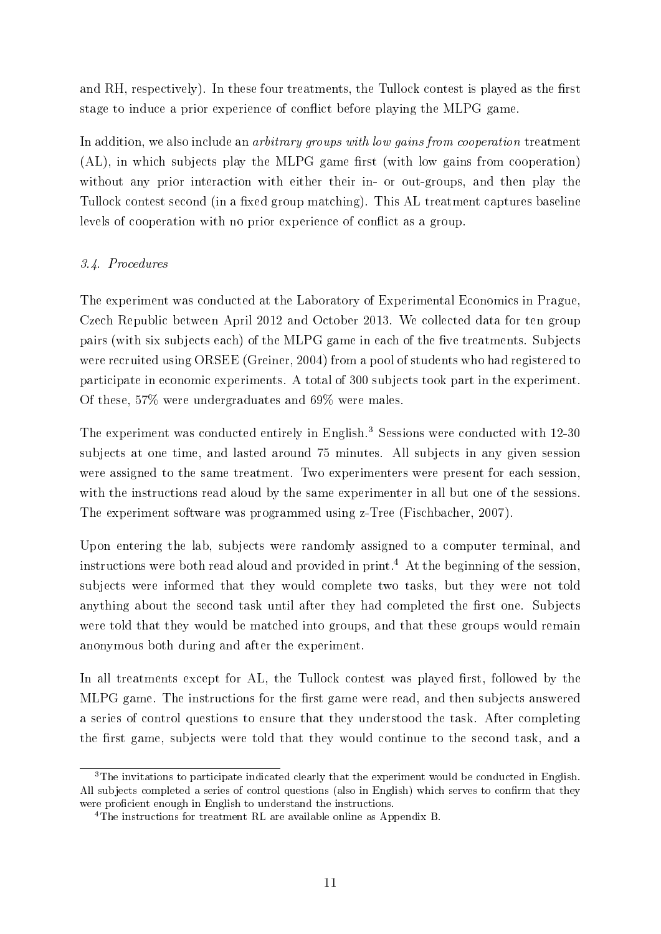and RH, respectively). In these four treatments, the Tullock contest is played as the first stage to induce a prior experience of conflict before playing the MLPG game.

In addition, we also include an *arbitrary groups with low gains from cooperation* treatment  $(AL)$ , in which subjects play the MLPG game first (with low gains from cooperation) without any prior interaction with either their in- or out-groups, and then play the Tullock contest second (in a fixed group matching). This AL treatment captures baseline levels of cooperation with no prior experience of conflict as a group.

### 3.4. Procedures

The experiment was conducted at the Laboratory of Experimental Economics in Prague, Czech Republic between April 2012 and October 2013. We collected data for ten group pairs (with six subjects each) of the MLPG game in each of the five treatments. Subjects were recruited using ORSEE (Greiner, 2004) from a pool of students who had registered to participate in economic experiments. A total of 300 subjects took part in the experiment. Of these, 57% were undergraduates and 69% were males.

The experiment was conducted entirely in English.<sup>3</sup> Sessions were conducted with 12-30 subjects at one time, and lasted around 75 minutes. All subjects in any given session were assigned to the same treatment. Two experimenters were present for each session, with the instructions read aloud by the same experimenter in all but one of the sessions. The experiment software was programmed using z-Tree (Fischbacher, 2007).

Upon entering the lab, subjects were randomly assigned to a computer terminal, and instructions were both read aloud and provided in print.<sup>4</sup> At the beginning of the session, subjects were informed that they would complete two tasks, but they were not told anything about the second task until after they had completed the first one. Subjects were told that they would be matched into groups, and that these groups would remain anonymous both during and after the experiment.

In all treatments except for AL, the Tullock contest was played first, followed by the MLPG game. The instructions for the first game were read, and then subjects answered a series of control questions to ensure that they understood the task. After completing the first game, subjects were told that they would continue to the second task, and a

<sup>&</sup>lt;sup>3</sup>The invitations to participate indicated clearly that the experiment would be conducted in English. All subjects completed a series of control questions (also in English) which serves to confirm that they were proficient enough in English to understand the instructions.

<sup>&</sup>lt;sup>4</sup>The instructions for treatment RL are available online as Appendix B.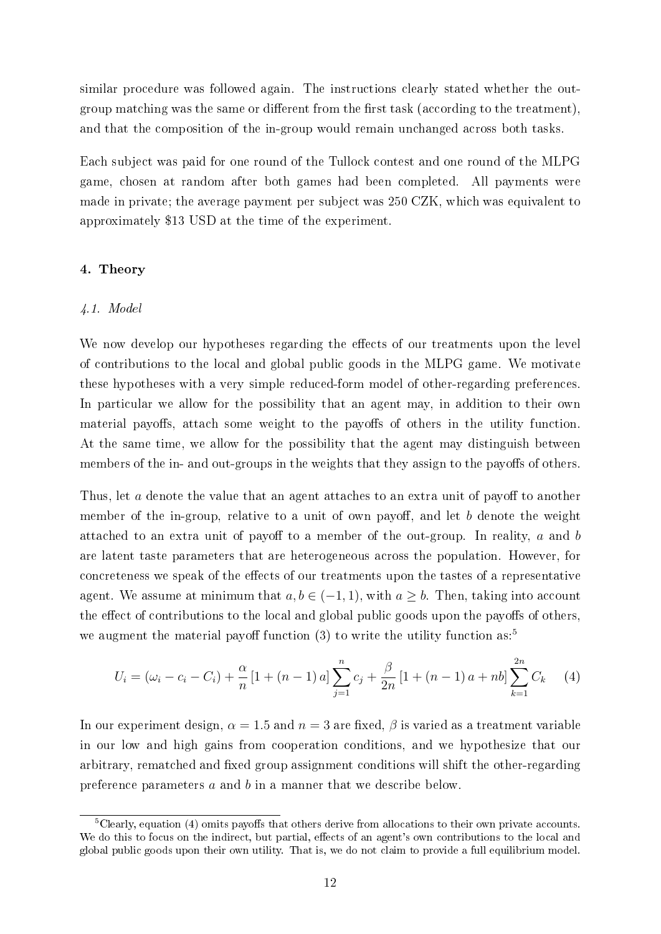similar procedure was followed again. The instructions clearly stated whether the outgroup matching was the same or different from the first task (according to the treatment), and that the composition of the in-group would remain unchanged across both tasks.

Each subject was paid for one round of the Tullock contest and one round of the MLPG game, chosen at random after both games had been completed. All payments were made in private; the average payment per subject was 250 CZK, which was equivalent to approximately \$13 USD at the time of the experiment.

### 4. Theory

### 4.1. Model

We now develop our hypotheses regarding the effects of our treatments upon the level of contributions to the local and global public goods in the MLPG game. We motivate these hypotheses with a very simple reduced-form model of other-regarding preferences. In particular we allow for the possibility that an agent may, in addition to their own material payoffs, attach some weight to the payoffs of others in the utility function. At the same time, we allow for the possibility that the agent may distinguish between members of the in- and out-groups in the weights that they assign to the payoffs of others.

Thus, let a denote the value that an agent attaches to an extra unit of payoff to another member of the in-group, relative to a unit of own payoff, and let b denote the weight attached to an extra unit of payoff to a member of the out-group. In reality,  $a$  and  $b$ are latent taste parameters that are heterogeneous across the population. However, for concreteness we speak of the effects of our treatments upon the tastes of a representative agent. We assume at minimum that  $a, b \in (-1, 1)$ , with  $a \geq b$ . Then, taking into account the effect of contributions to the local and global public goods upon the payoffs of others, we augment the material payoff function (3) to write the utility function as:<sup>5</sup>

$$
U_i = (\omega_i - c_i - C_i) + \frac{\alpha}{n} \left[ 1 + (n-1)a \right] \sum_{j=1}^n c_j + \frac{\beta}{2n} \left[ 1 + (n-1)a + nb \right] \sum_{k=1}^{2n} C_k \tag{4}
$$

In our experiment design,  $\alpha = 1.5$  and  $n = 3$  are fixed,  $\beta$  is varied as a treatment variable in our low and high gains from cooperation conditions, and we hypothesize that our arbitrary, rematched and fixed group assignment conditions will shift the other-regarding preference parameters a and b in a manner that we describe below.

 $5C$ learly, equation (4) omits payoffs that others derive from allocations to their own private accounts. We do this to focus on the indirect, but partial, effects of an agent's own contributions to the local and global public goods upon their own utility. That is, we do not claim to provide a full equilibrium model.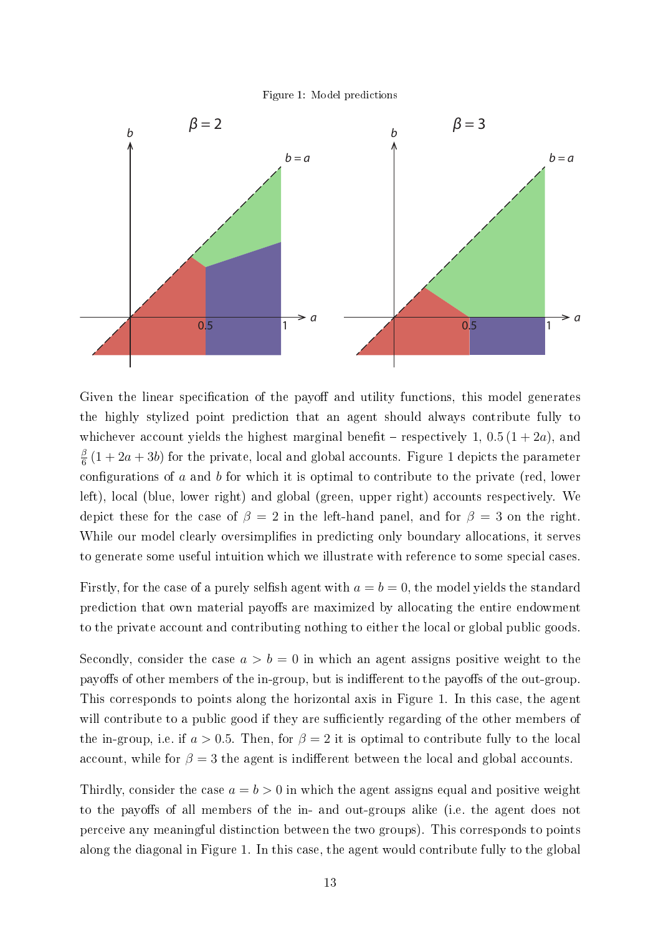Figure 1: Model predictions



Given the linear specification of the payoff and utility functions, this model generates the highly stylized point prediction that an agent should always contribute fully to whichever account yields the highest marginal benefit – respectively 1,  $0.5(1+2a)$ , and β  $\frac{\beta}{6}\left(1+2a+3b\right)$  for the private, local and global accounts. Figure 1 depicts the parameter configurations of  $a$  and  $b$  for which it is optimal to contribute to the private (red, lower left), local (blue, lower right) and global (green, upper right) accounts respectively. We depict these for the case of  $\beta = 2$  in the left-hand panel, and for  $\beta = 3$  on the right. While our model clearly oversimplifies in predicting only boundary allocations, it serves to generate some useful intuition which we illustrate with reference to some special cases.

Firstly, for the case of a purely selfish agent with  $a = b = 0$ , the model yields the standard prediction that own material payoffs are maximized by allocating the entire endowment to the private account and contributing nothing to either the local or global public goods.

Secondly, consider the case  $a > b = 0$  in which an agent assigns positive weight to the payoffs of other members of the in-group, but is indifferent to the payoffs of the out-group. This corresponds to points along the horizontal axis in Figure 1. In this case, the agent will contribute to a public good if they are sufficiently regarding of the other members of the in-group, i.e. if  $a > 0.5$ . Then, for  $\beta = 2$  it is optimal to contribute fully to the local account, while for  $\beta = 3$  the agent is indifferent between the local and global accounts.

Thirdly, consider the case  $a = b > 0$  in which the agent assigns equal and positive weight to the payoffs of all members of the in- and out-groups alike (i.e. the agent does not perceive any meaningful distinction between the two groups). This corresponds to points along the diagonal in Figure 1. In this case, the agent would contribute fully to the global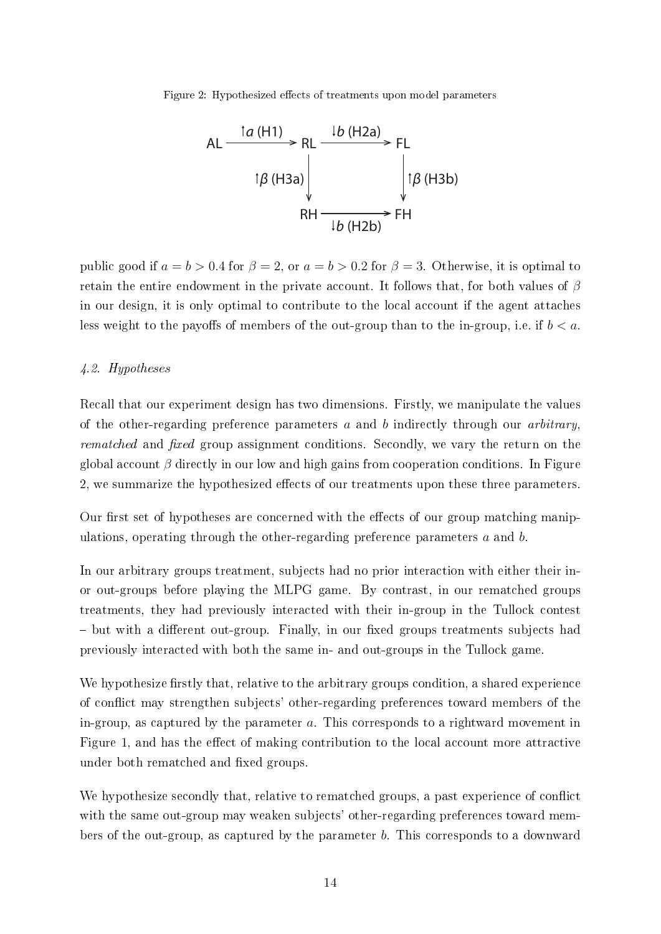Figure 2: Hypothesized effects of treatments upon model parameters



public good if  $a = b > 0.4$  for  $\beta = 2$ , or  $a = b > 0.2$  for  $\beta = 3$ . Otherwise, it is optimal to retain the entire endowment in the private account. It follows that, for both values of  $\beta$ in our design, it is only optimal to contribute to the local account if the agent attaches less weight to the payoffs of members of the out-group than to the in-group, i.e. if  $b < a$ .

### 4.2. Hypotheses

Recall that our experiment design has two dimensions. Firstly, we manipulate the values of the other-regarding preference parameters  $a$  and  $b$  indirectly through our *arbitrary*, rematched and fixed group assignment conditions. Secondly, we vary the return on the global account  $\beta$  directly in our low and high gains from cooperation conditions. In Figure 2, we summarize the hypothesized effects of our treatments upon these three parameters.

Our first set of hypotheses are concerned with the effects of our group matching manipulations, operating through the other-regarding preference parameters  $a$  and  $b$ .

In our arbitrary groups treatment, subjects had no prior interaction with either their inor out-groups before playing the MLPG game. By contrast, in our rematched groups treatments, they had previously interacted with their in-group in the Tullock contest - but with a different out-group. Finally, in our fixed groups treatments subjects had previously interacted with both the same in- and out-groups in the Tullock game.

We hypothesize firstly that, relative to the arbitrary groups condition, a shared experience of conflict may strengthen subjects' other-regarding preferences toward members of the in-group, as captured by the parameter a. This corresponds to a rightward movement in Figure 1, and has the effect of making contribution to the local account more attractive under both rematched and fixed groups.

We hypothesize secondly that, relative to rematched groups, a past experience of conflict with the same out-group may weaken subjects' other-regarding preferences toward members of the out-group, as captured by the parameter b. This corresponds to a downward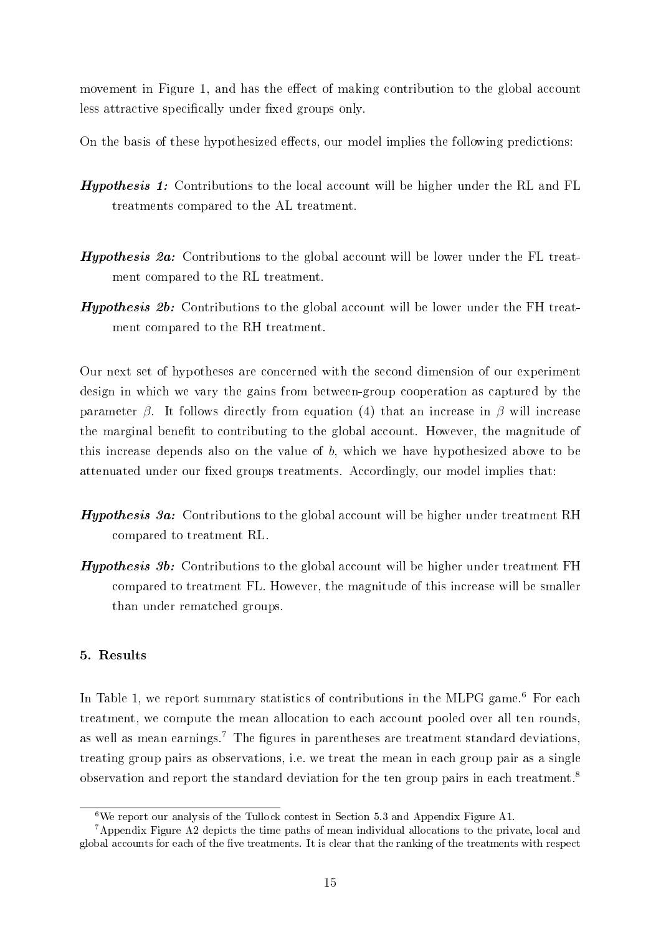movement in Figure 1, and has the effect of making contribution to the global account less attractive specifically under fixed groups only.

On the basis of these hypothesized effects, our model implies the following predictions:

- **Hypothesis 1:** Contributions to the local account will be higher under the RL and FL treatments compared to the AL treatment.
- Hypothesis 2a: Contributions to the global account will be lower under the FL treatment compared to the RL treatment.
- Hypothesis 2b: Contributions to the global account will be lower under the FH treatment compared to the RH treatment.

Our next set of hypotheses are concerned with the second dimension of our experiment design in which we vary the gains from between-group cooperation as captured by the parameter  $\beta$ . It follows directly from equation (4) that an increase in  $\beta$  will increase the marginal benefit to contributing to the global account. However, the magnitude of this increase depends also on the value of  $b$ , which we have hypothesized above to be attenuated under our fixed groups treatments. Accordingly, our model implies that:

- Hypothesis 3a: Contributions to the global account will be higher under treatment RH compared to treatment RL.
- **Hypothesis 3b:** Contributions to the global account will be higher under treatment  $FH$ compared to treatment FL. However, the magnitude of this increase will be smaller than under rematched groups.

### 5. Results

In Table 1, we report summary statistics of contributions in the MLPG game.<sup>6</sup> For each treatment, we compute the mean allocation to each account pooled over all ten rounds, as well as mean earnings.<sup>7</sup> The figures in parentheses are treatment standard deviations, treating group pairs as observations, i.e. we treat the mean in each group pair as a single observation and report the standard deviation for the ten group pairs in each treatment.<sup>8</sup>

 $6$ We report our analysis of the Tullock contest in Section 5.3 and Appendix Figure A1.

<sup>7</sup>Appendix Figure A2 depicts the time paths of mean individual allocations to the private, local and global accounts for each of the five treatments. It is clear that the ranking of the treatments with respect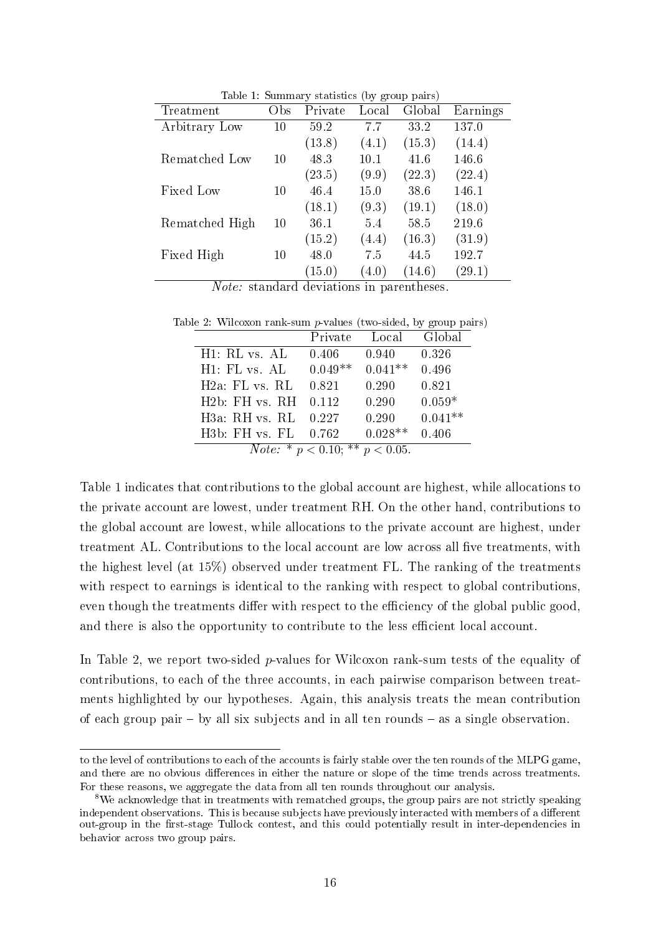| Table 1: Summary statistics (by group pairs) |                 |         |       |        |          |  |  |
|----------------------------------------------|-----------------|---------|-------|--------|----------|--|--|
| Treatment                                    | O <sub>bs</sub> | Private | Local | Global | Earnings |  |  |
| Arbitrary Low                                | 10              | 59.2    | 77    | 33.2   | 137.0    |  |  |
|                                              |                 | (13.8)  | (4.1) | (15.3) | (14.4)   |  |  |
| Rematched Low                                | 10              | 48.3    | 10.1  | 41.6   | 146.6    |  |  |
|                                              |                 | (23.5)  | (9.9) | (22.3) | (22.4)   |  |  |
| Fixed Low                                    | 10              | 46.4    | 15.0  | 38.6   | 146.1    |  |  |
|                                              |                 | (18.1)  | (9.3) | (19.1) | (18.0)   |  |  |
| Rematched High                               | 10              | 36.1    | 5.4   | 58.5   | 219.6    |  |  |
|                                              |                 | (15.2)  | (4.4) | (16.3) | (31.9)   |  |  |
| Fixed High                                   | 10              | 48.0    | 7.5   | 44.5   | 192.7    |  |  |
|                                              |                 | (15.0)  | (4.0) | (14.6) | (29.1)   |  |  |
| $ -$                                         | л.<br>л.        | л.      |       |        |          |  |  |

Table 1: Summary statistics (by group pairs)

Note: standard deviations in parentheses.

Table 2: Wilcoxon rank-sum p-values (two-sided, by group pairs)

|                                             | Private   | Local     | Global    |  |  |
|---------------------------------------------|-----------|-----------|-----------|--|--|
| H <sub>1</sub> : RL vs. AL                  | 0.406     | 0.940     | 0.326     |  |  |
| H1: FL vs. AL                               | $0.049**$ | $0.041**$ | 0.496     |  |  |
| $H2a$ : FL vs. RL                           | 0.821     | 0.290     | 0.821     |  |  |
| $H2h$ : FH vs RH                            | 0.112     | 0.290     | $0.059*$  |  |  |
| H3a: RH vs. RL                              | 0.227     | 0.290     | $0.041**$ |  |  |
| H3b: FH vs. FL                              | 0.762     | $0.028**$ | 0.406     |  |  |
| <i>Note:</i> * $p < 0.10$ : ** $p < 0.05$ . |           |           |           |  |  |

Table 1 indicates that contributions to the global account are highest, while allocations to the private account are lowest, under treatment RH. On the other hand, contributions to the global account are lowest, while allocations to the private account are highest, under treatment AL. Contributions to the local account are low across all five treatments, with the highest level (at 15%) observed under treatment FL. The ranking of the treatments with respect to earnings is identical to the ranking with respect to global contributions, even though the treatments differ with respect to the efficiency of the global public good, and there is also the opportunity to contribute to the less efficient local account.

In Table 2, we report two-sided *p*-values for Wilcoxon rank-sum tests of the equality of contributions, to each of the three accounts, in each pairwise comparison between treatments highlighted by our hypotheses. Again, this analysis treats the mean contribution of each group pair  $-$  by all six subjects and in all ten rounds  $-$  as a single observation.

to the level of contributions to each of the accounts is fairly stable over the ten rounds of the MLPG game, and there are no obvious differences in either the nature or slope of the time trends across treatments. For these reasons, we aggregate the data from all ten rounds throughout our analysis.

<sup>&</sup>lt;sup>8</sup>We acknowledge that in treatments with rematched groups, the group pairs are not strictly speaking independent observations. This is because subjects have previously interacted with members of a different out-group in the first-stage Tullock contest, and this could potentially result in inter-dependencies in behavior across two group pairs.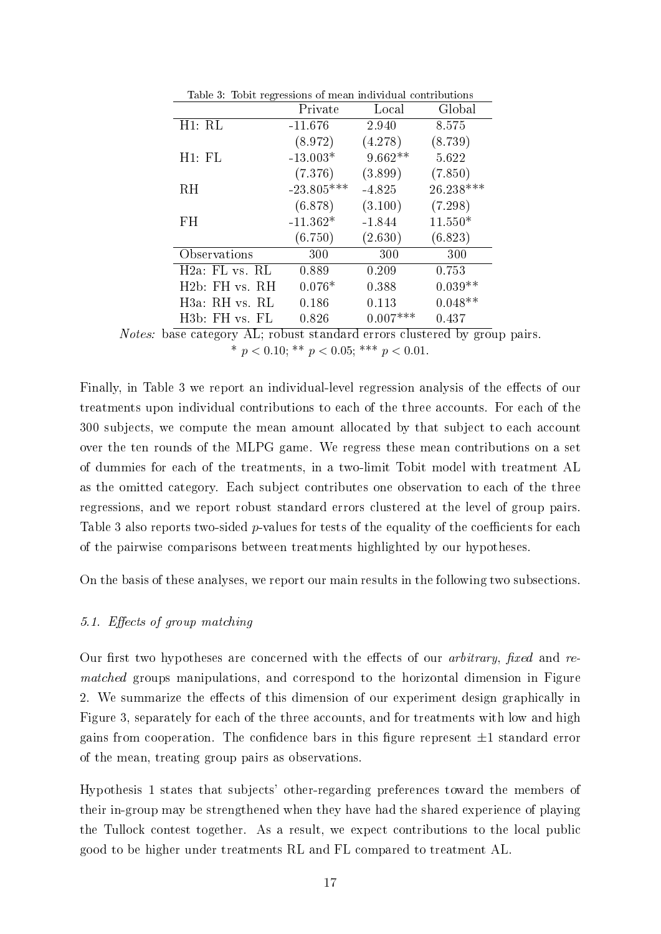| ပ                           | Private      | Local      | Global    |
|-----------------------------|--------------|------------|-----------|
| H1: RL                      | $-11.676$    | 2.940      | 8.575     |
|                             | (8.972)      | (4.278)    | (8.739)   |
| H1: FL                      | $-13.003*$   | $9.662**$  | 5.622     |
|                             | (7.376)      | (3.899)    | (7.850)   |
| RН                          | $-23.805***$ | $-4.825$   | 26.238*** |
|                             | (6.878)      | (3.100)    | (7.298)   |
| FH                          | $-11.362*$   | $-1.844$   | $11.550*$ |
|                             | (6.750)      | (2.630)    | (6.823)   |
| Observations                | 300          | 300        | 300       |
| $H2a$ : FL vs. RL           | 0.889        | 0.209      | 0.753     |
| H2b: FH vs. RH              | $0.076*$     | 0.388      | $0.039**$ |
| H3a: RH vs. RL              | 0.186        | 0.113      | $0.048**$ |
| H <sub>3</sub> b: FH vs. FL | 0.826        | $0.007***$ | 0.437     |

Table 3: Tobit regressions of mean individual contributions

Finally, in Table 3 we report an individual-level regression analysis of the effects of our treatments upon individual contributions to each of the three accounts. For each of the 300 subjects, we compute the mean amount allocated by that subject to each account over the ten rounds of the MLPG game. We regress these mean contributions on a set of dummies for each of the treatments, in a two-limit Tobit model with treatment AL as the omitted category. Each subject contributes one observation to each of the three regressions, and we report robust standard errors clustered at the level of group pairs. Table 3 also reports two-sided  $p$ -values for tests of the equality of the coefficients for each of the pairwise comparisons between treatments highlighted by our hypotheses.

On the basis of these analyses, we report our main results in the following two subsections.

### 5.1. Effects of group matching

Our first two hypotheses are concerned with the effects of our *arbitrary*, fixed and rematched groups manipulations, and correspond to the horizontal dimension in Figure 2. We summarize the effects of this dimension of our experiment design graphically in Figure 3, separately for each of the three accounts, and for treatments with low and high gains from cooperation. The confidence bars in this figure represent  $\pm 1$  standard error of the mean, treating group pairs as observations.

Hypothesis 1 states that subjects' other-regarding preferences toward the members of their in-group may be strengthened when they have had the shared experience of playing the Tullock contest together. As a result, we expect contributions to the local public good to be higher under treatments RL and FL compared to treatment AL.

Notes: base category AL; robust standard errors clustered by group pairs. \*  $p < 0.10$ ; \*\*  $p < 0.05$ ; \*\*\*  $p < 0.01$ .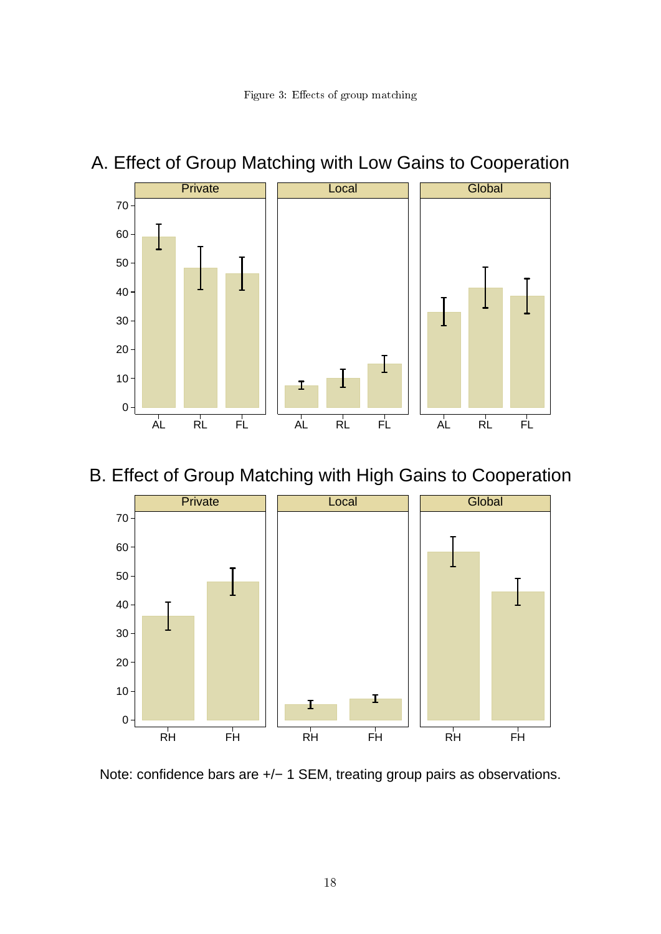# A. Effect of Group Matching with Low Gains to Cooperation



B. Effect of Group Matching with High Gains to Cooperation



Note: confidence bars are +/- 1 SEM, treating group pairs as observations.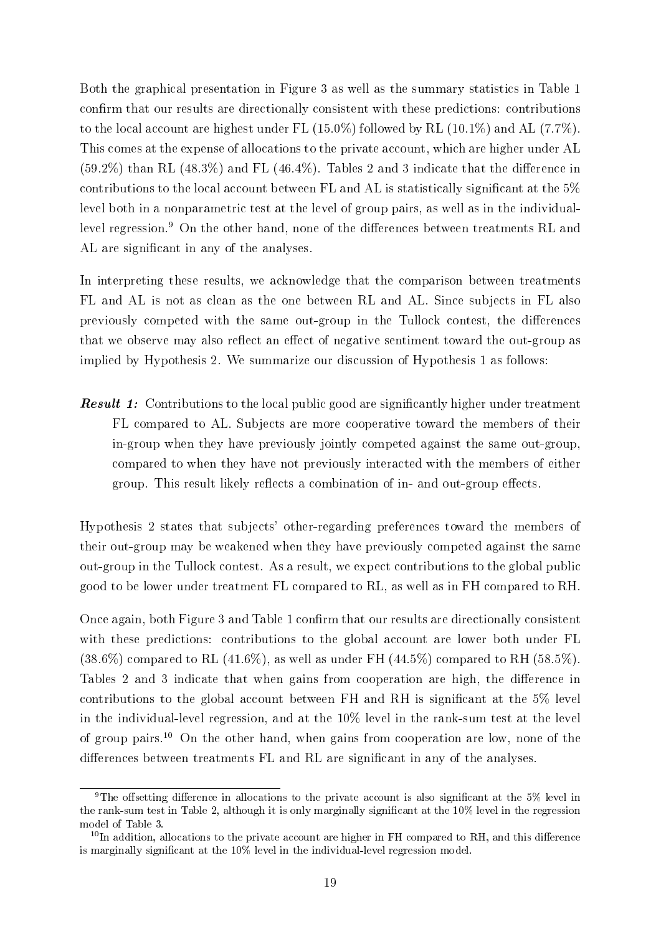Both the graphical presentation in Figure 3 as well as the summary statistics in Table 1 confirm that our results are directionally consistent with these predictions: contributions to the local account are highest under FL  $(15.0\%)$  followed by RL  $(10.1\%)$  and AL  $(7.7\%)$ . This comes at the expense of allocations to the private account, which are higher under AL  $(59.2\%)$  than RL  $(48.3\%)$  and FL  $(46.4\%)$ . Tables 2 and 3 indicate that the difference in contributions to the local account between  $FL$  and  $AL$  is statistically significant at the  $5\%$ level both in a nonparametric test at the level of group pairs, as well as in the individuallevel regression.<sup>9</sup> On the other hand, none of the differences between treatments RL and AL are significant in any of the analyses.

In interpreting these results, we acknowledge that the comparison between treatments FL and AL is not as clean as the one between RL and AL. Since subjects in FL also previously competed with the same out-group in the Tullock contest, the differences that we observe may also reflect an effect of negative sentiment toward the out-group as implied by Hypothesis 2. We summarize our discussion of Hypothesis 1 as follows:

**Result 1:** Contributions to the local public good are significantly higher under treatment FL compared to AL. Subjects are more cooperative toward the members of their in-group when they have previously jointly competed against the same out-group, compared to when they have not previously interacted with the members of either group. This result likely reflects a combination of in- and out-group effects.

Hypothesis 2 states that subjects' other-regarding preferences toward the members of their out-group may be weakened when they have previously competed against the same out-group in the Tullock contest. As a result, we expect contributions to the global public good to be lower under treatment FL compared to RL, as well as in FH compared to RH.

Once again, both Figure 3 and Table 1 confirm that our results are directionally consistent with these predictions: contributions to the global account are lower both under FL  $(38.6\%)$  compared to RL  $(41.6\%)$ , as well as under FH  $(44.5\%)$  compared to RH  $(58.5\%)$ . Tables 2 and 3 indicate that when gains from cooperation are high, the difference in contributions to the global account between FH and RH is significant at the  $5\%$  level in the individual-level regression, and at the 10% level in the rank-sum test at the level of group pairs.<sup>10</sup> On the other hand, when gains from cooperation are low, none of the differences between treatments FL and RL are significant in any of the analyses.

<sup>&</sup>lt;sup>9</sup>The offsetting difference in allocations to the private account is also significant at the 5% level in the rank-sum test in Table 2, although it is only marginally signicant at the 10% level in the regression model of Table 3.

 $10$ In addition, allocations to the private account are higher in FH compared to RH, and this difference is marginally signicant at the 10% level in the individual-level regression model.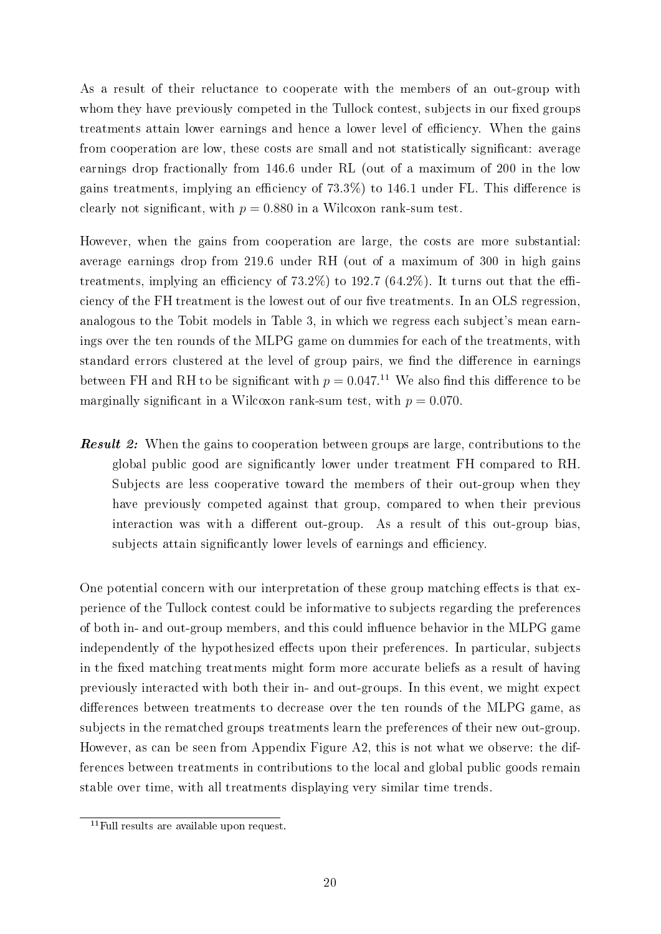As a result of their reluctance to cooperate with the members of an out-group with whom they have previously competed in the Tullock contest, subjects in our fixed groups treatments attain lower earnings and hence a lower level of efficiency. When the gains from cooperation are low, these costs are small and not statistically significant: average earnings drop fractionally from 146.6 under RL (out of a maximum of 200 in the low gains treatments, implying an efficiency of  $73.3\%$ ) to 146.1 under FL. This difference is clearly not significant, with  $p = 0.880$  in a Wilcoxon rank-sum test.

However, when the gains from cooperation are large, the costs are more substantial: average earnings drop from 219.6 under RH (out of a maximum of 300 in high gains treatments, implying an efficiency of  $73.2\%$ ) to 192.7 (64.2%). It turns out that the efficiency of the FH treatment is the lowest out of our five treatments. In an OLS regression, analogous to the Tobit models in Table 3, in which we regress each subject's mean earnings over the ten rounds of the MLPG game on dummies for each of the treatments, with standard errors clustered at the level of group pairs, we find the difference in earnings between FH and RH to be significant with  $p = 0.047$ .<sup>11</sup> We also find this difference to be marginally significant in a Wilcoxon rank-sum test, with  $p = 0.070$ .

**Result 2:** When the gains to cooperation between groups are large, contributions to the global public good are signicantly lower under treatment FH compared to RH. Subjects are less cooperative toward the members of their out-group when they have previously competed against that group, compared to when their previous interaction was with a different out-group. As a result of this out-group bias, subjects attain significantly lower levels of earnings and efficiency.

One potential concern with our interpretation of these group matching effects is that experience of the Tullock contest could be informative to subjects regarding the preferences of both in- and out-group members, and this could influence behavior in the MLPG game independently of the hypothesized effects upon their preferences. In particular, subjects in the fixed matching treatments might form more accurate beliefs as a result of having previously interacted with both their in- and out-groups. In this event, we might expect differences between treatments to decrease over the ten rounds of the MLPG game, as subjects in the rematched groups treatments learn the preferences of their new out-group. However, as can be seen from Appendix Figure A2, this is not what we observe: the differences between treatments in contributions to the local and global public goods remain stable over time, with all treatments displaying very similar time trends.

 $11$  Full results are available upon request.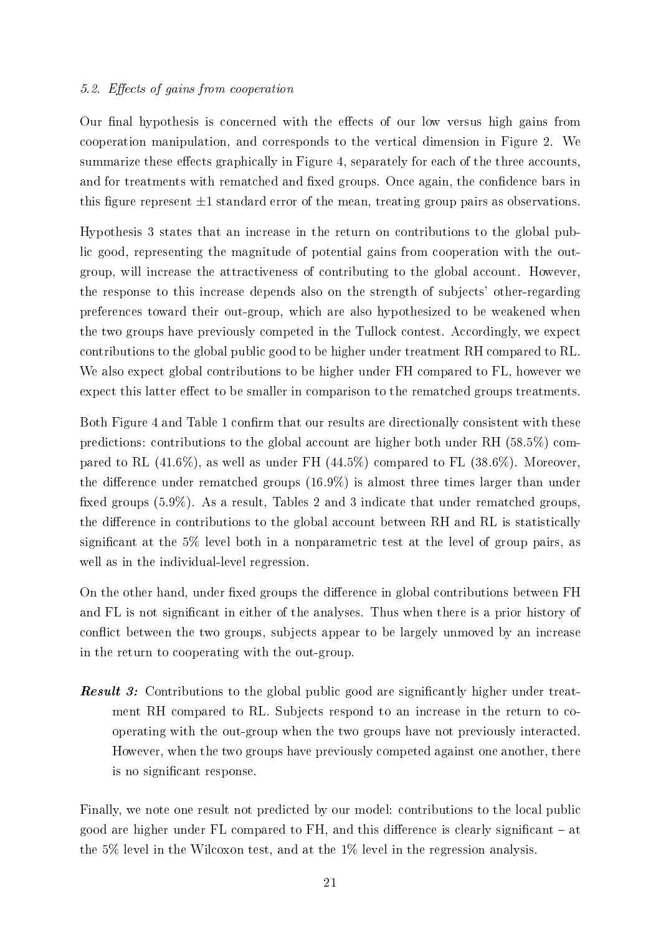### 5.2. Effects of gains from cooperation

Our final hypothesis is concerned with the effects of our low versus high gains from cooperation manipulation, and corresponds to the vertical dimension in Figure 2. We summarize these effects graphically in Figure 4, separately for each of the three accounts, and for treatments with rematched and fixed groups. Once again, the confidence bars in this figure represent  $\pm 1$  standard error of the mean, treating group pairs as observations.

Hypothesis 3 states that an increase in the return on contributions to the global public good, representing the magnitude of potential gains from cooperation with the outgroup, will increase the attractiveness of contributing to the global account. However, the response to this increase depends also on the strength of subjects' other-regarding preferences toward their out-group, which are also hypothesized to be weakened when the two groups have previously competed in the Tullock contest. Accordingly, we expect contributions to the global public good to be higher under treatment RH compared to RL. We also expect global contributions to be higher under FH compared to FL, however we expect this latter effect to be smaller in comparison to the rematched groups treatments.

Both Figure 4 and Table 1 confirm that our results are directionally consistent with these predictions: contributions to the global account are higher both under RH (58.5%) compared to RL (41.6%), as well as under FH (44.5%) compared to FL (38.6%). Moreover, the difference under rematched groups  $(16.9\%)$  is almost three times larger than under fixed groups (5.9%). As a result, Tables 2 and 3 indicate that under rematched groups, the difference in contributions to the global account between RH and RL is statistically signicant at the 5% level both in a nonparametric test at the level of group pairs, as well as in the individual-level regression.

On the other hand, under fixed groups the difference in global contributions between FH and FL is not significant in either of the analyses. Thus when there is a prior history of conflict between the two groups, subjects appear to be largely unmoved by an increase in the return to cooperating with the out-group.

**Result 3:** Contributions to the global public good are significantly higher under treatment RH compared to RL. Subjects respond to an increase in the return to cooperating with the out-group when the two groups have not previously interacted. However, when the two groups have previously competed against one another, there is no signicant response.

Finally, we note one result not predicted by our model: contributions to the local public good are higher under  $FL$  compared to  $FH$ , and this difference is clearly significant  $-$  at the 5% level in the Wilcoxon test, and at the 1% level in the regression analysis.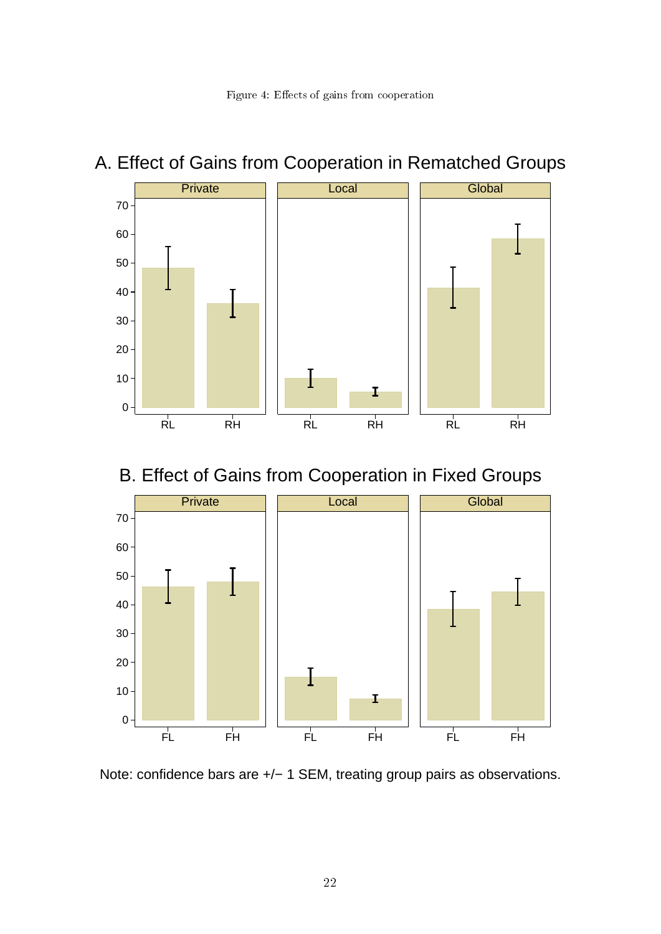

# A. Effect of Gains from Cooperation in Rematched Groups

B. Effect of Gains from Cooperation in Fixed Groups



Note: confidence bars are +/- 1 SEM, treating group pairs as observations.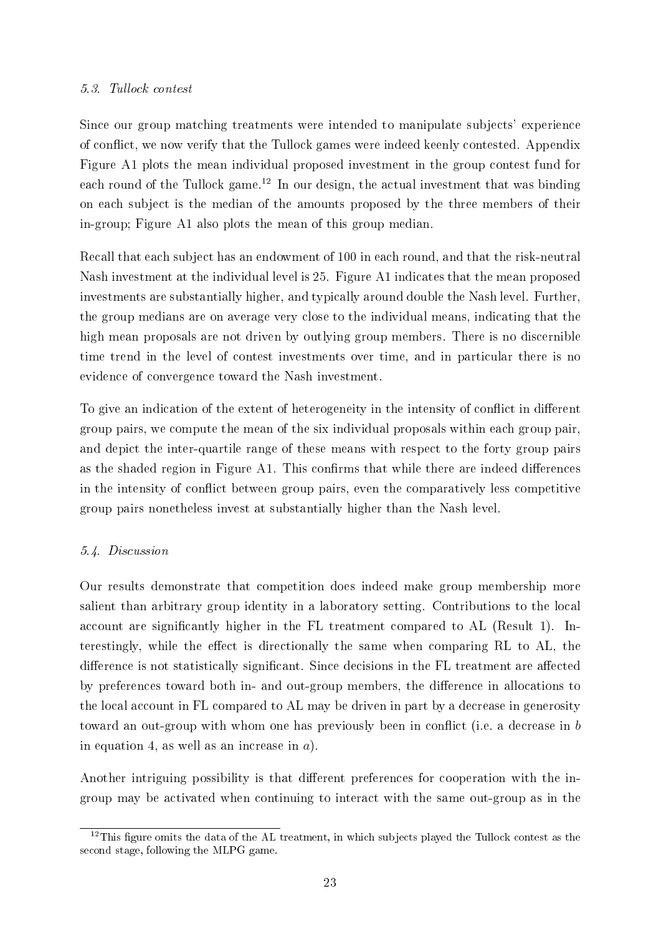### 5.3. Tullock contest

Since our group matching treatments were intended to manipulate subjects' experience of conflict, we now verify that the Tullock games were indeed keenly contested. Appendix Figure A1 plots the mean individual proposed investment in the group contest fund for each round of the Tullock game.<sup>12</sup> In our design, the actual investment that was binding on each subject is the median of the amounts proposed by the three members of their in-group; Figure A1 also plots the mean of this group median.

Recall that each subject has an endowment of 100 in each round, and that the risk-neutral Nash investment at the individual level is 25. Figure A1 indicates that the mean proposed investments are substantially higher, and typically around double the Nash level. Further, the group medians are on average very close to the individual means, indicating that the high mean proposals are not driven by outlying group members. There is no discernible time trend in the level of contest investments over time, and in particular there is no evidence of convergence toward the Nash investment.

To give an indication of the extent of heterogeneity in the intensity of conflict in different group pairs, we compute the mean of the six individual proposals within each group pair, and depict the inter-quartile range of these means with respect to the forty group pairs as the shaded region in Figure A1. This confirms that while there are indeed differences in the intensity of conflict between group pairs, even the comparatively less competitive group pairs nonetheless invest at substantially higher than the Nash level.

### 5.4. Discussion

Our results demonstrate that competition does indeed make group membership more salient than arbitrary group identity in a laboratory setting. Contributions to the local account are significantly higher in the FL treatment compared to AL (Result 1). Interestingly, while the effect is directionally the same when comparing RL to AL, the difference is not statistically significant. Since decisions in the FL treatment are affected by preferences toward both in- and out-group members, the difference in allocations to the local account in FL compared to AL may be driven in part by a decrease in generosity toward an out-group with whom one has previously been in conflict (i.e. a decrease in b in equation 4, as well as an increase in  $a$ ).

Another intriguing possibility is that different preferences for cooperation with the ingroup may be activated when continuing to interact with the same out-group as in the

 $12$ This figure omits the data of the AL treatment, in which subjects played the Tullock contest as the second stage, following the MLPG game.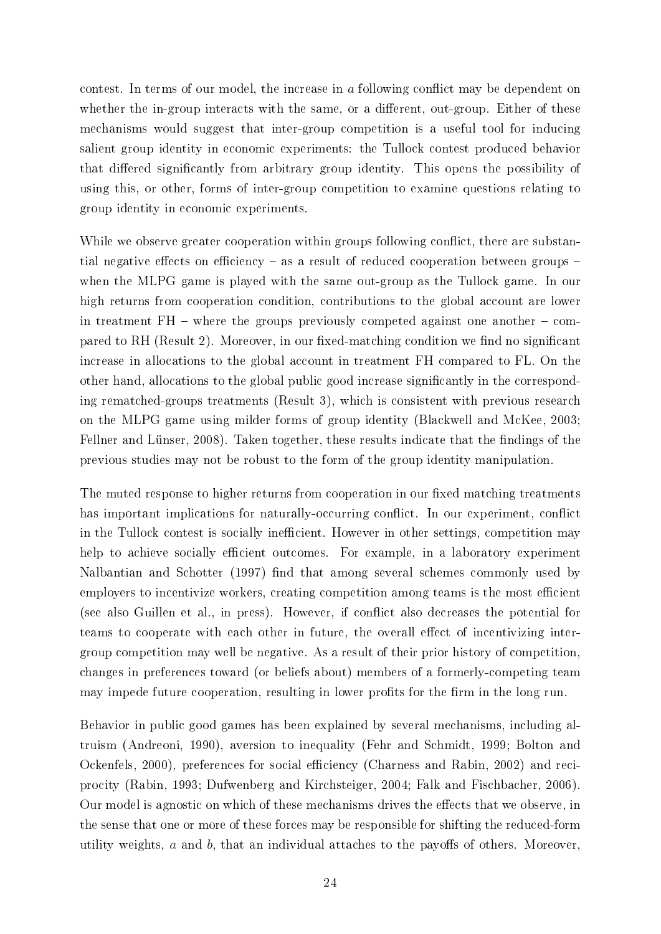contest. In terms of our model, the increase in a following conflict may be dependent on whether the in-group interacts with the same, or a different, out-group. Either of these mechanisms would suggest that inter-group competition is a useful tool for inducing salient group identity in economic experiments: the Tullock contest produced behavior that differed significantly from arbitrary group identity. This opens the possibility of using this, or other, forms of inter-group competition to examine questions relating to group identity in economic experiments.

While we observe greater cooperation within groups following conflict, there are substantial negative effects on efficiency  $-$  as a result of reduced cooperation between groups  $$ when the MLPG game is played with the same out-group as the Tullock game. In our high returns from cooperation condition, contributions to the global account are lower in treatment  $FH$  – where the groups previously competed against one another  $-$  compared to RH (Result 2). Moreover, in our fixed-matching condition we find no significant increase in allocations to the global account in treatment FH compared to FL. On the other hand, allocations to the global public good increase signicantly in the corresponding rematched-groups treatments (Result 3), which is consistent with previous research on the MLPG game using milder forms of group identity (Blackwell and McKee, 2003; Fellner and Lünser, 2008). Taken together, these results indicate that the findings of the previous studies may not be robust to the form of the group identity manipulation.

The muted response to higher returns from cooperation in our fixed matching treatments has important implications for naturally-occurring conflict. In our experiment, conflict in the Tullock contest is socially inefficient. However in other settings, competition may help to achieve socially efficient outcomes. For example, in a laboratory experiment Nalbantian and Schotter (1997) find that among several schemes commonly used by employers to incentivize workers, creating competition among teams is the most efficient (see also Guillen et al., in press). However, if conflict also decreases the potential for teams to cooperate with each other in future, the overall effect of incentivizing intergroup competition may well be negative. As a result of their prior history of competition, changes in preferences toward (or beliefs about) members of a formerly-competing team may impede future cooperation, resulting in lower profits for the firm in the long run.

Behavior in public good games has been explained by several mechanisms, including altruism (Andreoni, 1990), aversion to inequality (Fehr and Schmidt, 1999; Bolton and Ockenfels, 2000), preferences for social efficiency (Charness and Rabin, 2002) and reciprocity (Rabin, 1993; Dufwenberg and Kirchsteiger, 2004; Falk and Fischbacher, 2006). Our model is agnostic on which of these mechanisms drives the effects that we observe, in the sense that one or more of these forces may be responsible for shifting the reduced-form utility weights,  $a$  and  $b$ , that an individual attaches to the payoffs of others. Moreover,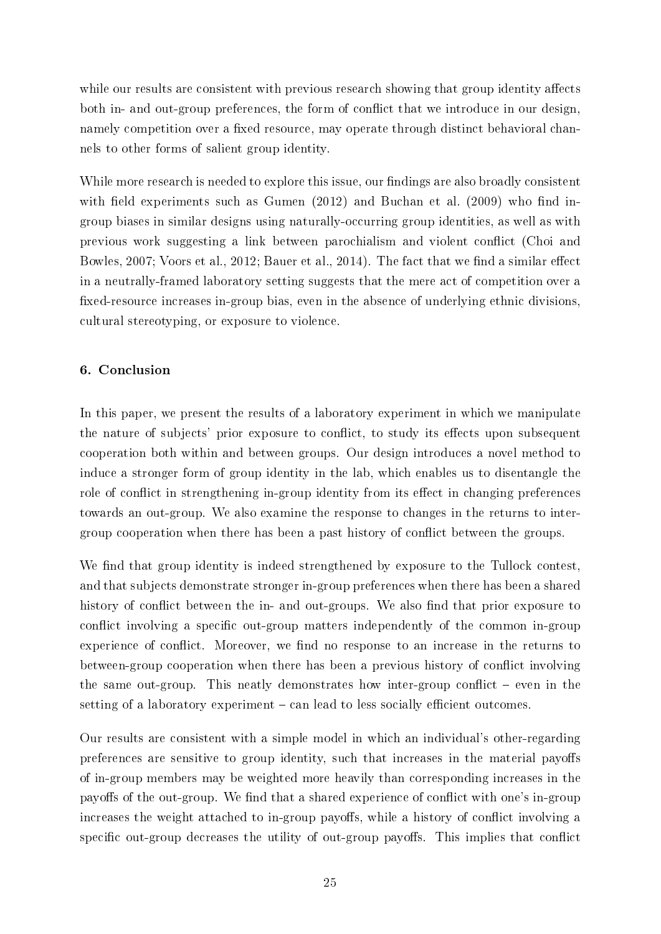while our results are consistent with previous research showing that group identity affects both in- and out-group preferences, the form of conflict that we introduce in our design, namely competition over a fixed resource, may operate through distinct behavioral channels to other forms of salient group identity.

While more research is needed to explore this issue, our findings are also broadly consistent with field experiments such as Gumen  $(2012)$  and Buchan et al.  $(2009)$  who find ingroup biases in similar designs using naturally-occurring group identities, as well as with previous work suggesting a link between parochialism and violent conict (Choi and Bowles, 2007; Voors et al., 2012; Bauer et al., 2014). The fact that we find a similar effect in a neutrally-framed laboratory setting suggests that the mere act of competition over a fixed-resource increases in-group bias, even in the absence of underlying ethnic divisions, cultural stereotyping, or exposure to violence.

### 6. Conclusion

In this paper, we present the results of a laboratory experiment in which we manipulate the nature of subjects' prior exposure to conflict, to study its effects upon subsequent cooperation both within and between groups. Our design introduces a novel method to induce a stronger form of group identity in the lab, which enables us to disentangle the role of conflict in strengthening in-group identity from its effect in changing preferences towards an out-group. We also examine the response to changes in the returns to intergroup cooperation when there has been a past history of conflict between the groups.

We find that group identity is indeed strengthened by exposure to the Tullock contest, and that subjects demonstrate stronger in-group preferences when there has been a shared history of conflict between the in- and out-groups. We also find that prior exposure to conflict involving a specific out-group matters independently of the common in-group experience of conflict. Moreover, we find no response to an increase in the returns to between-group cooperation when there has been a previous history of conflict involving the same out-group. This neatly demonstrates how inter-group conflict  $-$  even in the setting of a laboratory experiment  $-\text{ can lead to less socially efficient outcomes.}$ 

Our results are consistent with a simple model in which an individual's other-regarding preferences are sensitive to group identity, such that increases in the material payoffs of in-group members may be weighted more heavily than corresponding increases in the payoffs of the out-group. We find that a shared experience of conflict with one's in-group increases the weight attached to in-group payoffs, while a history of conflict involving a specific out-group decreases the utility of out-group payoffs. This implies that conflict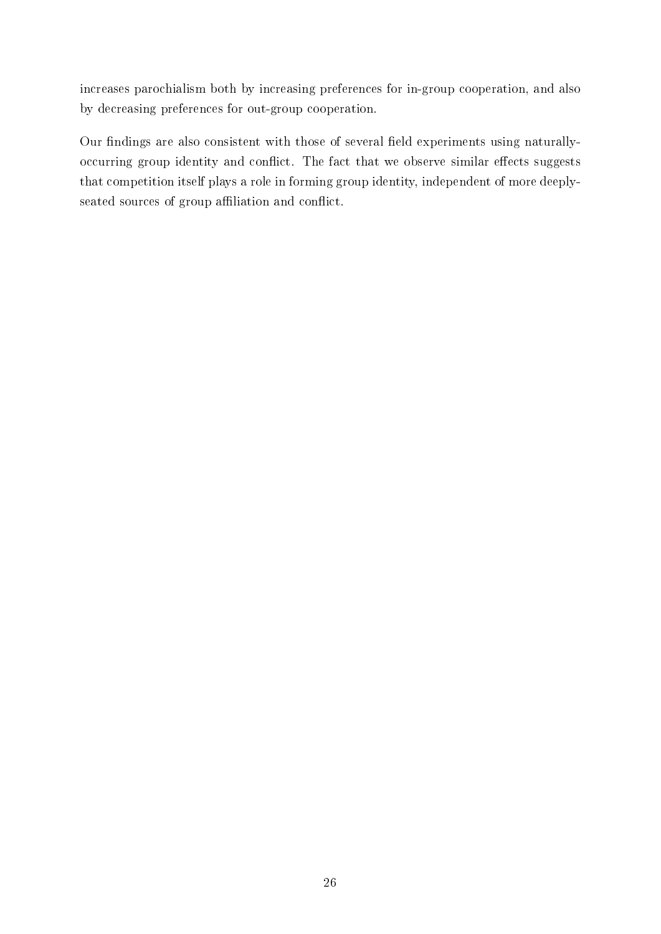increases parochialism both by increasing preferences for in-group cooperation, and also by decreasing preferences for out-group cooperation.

Our findings are also consistent with those of several field experiments using naturallyoccurring group identity and conflict. The fact that we observe similar effects suggests that competition itself plays a role in forming group identity, independent of more deeplyseated sources of group affiliation and conflict.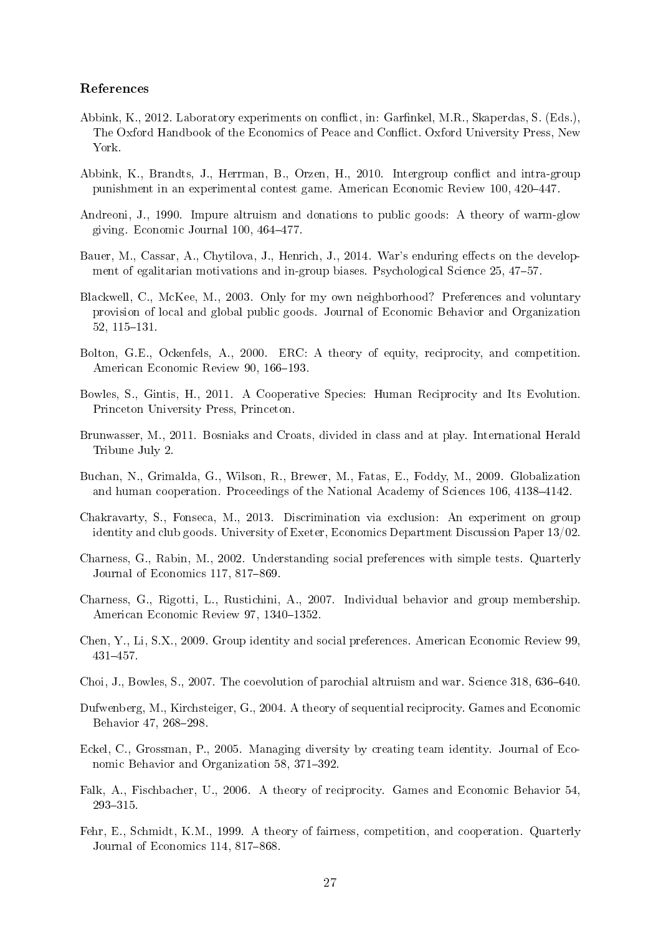### References

- Abbink, K., 2012. Laboratory experiments on conflict, in: Garfinkel, M.R., Skaperdas, S. (Eds.), The Oxford Handbook of the Economics of Peace and Conflict. Oxford University Press, New York.
- Abbink, K., Brandts, J., Herrman, B., Orzen, H., 2010. Intergroup conflict and intra-group punishment in an experimental contest game. American Economic Review 100, 420–447.
- Andreoni, J., 1990. Impure altruism and donations to public goods: A theory of warm-glow giving. Economic Journal 100, 464-477.
- Bauer, M., Cassar, A., Chytilova, J., Henrich, J., 2014. War's enduring effects on the development of egalitarian motivations and in-group biases. Psychological Science 25, 47–57.
- Blackwell, C., McKee, M., 2003. Only for my own neighborhood? Preferences and voluntary provision of local and global public goods. Journal of Economic Behavior and Organization 52, 115-131.
- Bolton, G.E., Ockenfels, A., 2000. ERC: A theory of equity, reciprocity, and competition. American Economic Review 90, 166-193.
- Bowles, S., Gintis, H., 2011. A Cooperative Species: Human Reciprocity and Its Evolution. Princeton University Press, Princeton.
- Brunwasser, M., 2011. Bosniaks and Croats, divided in class and at play. International Herald Tribune July 2.
- Buchan, N., Grimalda, G., Wilson, R., Brewer, M., Fatas, E., Foddy, M., 2009. Globalization and human cooperation. Proceedings of the National Academy of Sciences 106, 4138–4142.
- Chakravarty, S., Fonseca, M., 2013. Discrimination via exclusion: An experiment on group identity and club goods. University of Exeter, Economics Department Discussion Paper 13/02.
- Charness, G., Rabin, M., 2002. Understanding social preferences with simple tests. Quarterly Journal of Economics 117, 817–869.
- Charness, G., Rigotti, L., Rustichini, A., 2007. Individual behavior and group membership. American Economic Review 97, 1340-1352.
- Chen, Y., Li, S.X., 2009. Group identity and social preferences. American Economic Review 99, 431457.
- Choi, J., Bowles, S., 2007. The coevolution of parochial altruism and war. Science  $318,636-640$ .
- Dufwenberg, M., Kirchsteiger, G., 2004. A theory of sequential reciprocity. Games and Economic Behavior 47, 268-298.
- Eckel, C., Grossman, P., 2005. Managing diversity by creating team identity. Journal of Economic Behavior and Organization 58, 371-392.
- Falk, A., Fischbacher, U., 2006. A theory of reciprocity. Games and Economic Behavior 54, 293-315.
- Fehr, E., Schmidt, K.M., 1999. A theory of fairness, competition, and cooperation. Quarterly Journal of Economics 114, 817-868.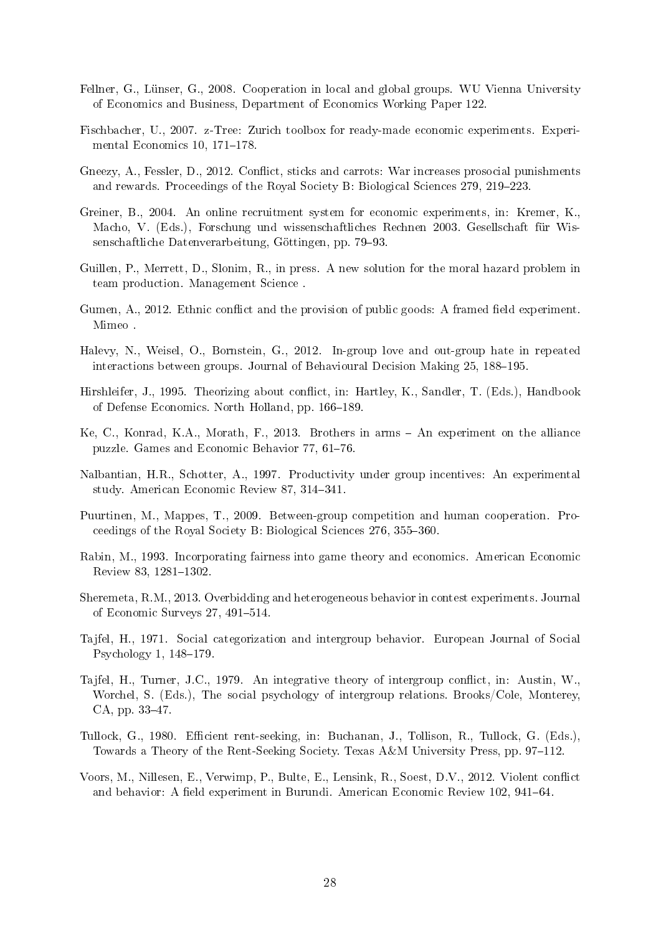- Fellner, G., Lünser, G., 2008. Cooperation in local and global groups. WU Vienna University of Economics and Business, Department of Economics Working Paper 122.
- Fischbacher, U., 2007. z-Tree: Zurich toolbox for ready-made economic experiments. Experimental Economics  $10, 171-178$ .
- Gneezy, A., Fessler, D., 2012. Conflict, sticks and carrots: War increases prosocial punishments and rewards. Proceedings of the Royal Society B: Biological Sciences 279, 219–223.
- Greiner, B., 2004. An online recruitment system for economic experiments, in: Kremer, K., Macho, V. (Eds.), Forschung und wissenschaftliches Rechnen 2003. Gesellschaft für Wissenschaftliche Datenverarbeitung, Göttingen, pp. 79-93.
- Guillen, P., Merrett, D., Slonim, R., in press. A new solution for the moral hazard problem in team production. Management Science .
- Gumen,  $A_{1}$ , 2012. Ethnic conflict and the provision of public goods: A framed field experiment. Mimeo .
- Halevy, N., Weisel, O., Bornstein, G., 2012. In-group love and out-group hate in repeated interactions between groups. Journal of Behavioural Decision Making 25, 188–195.
- Hirshleifer, J., 1995. Theorizing about conflict, in: Hartley, K., Sandler, T. (Eds.), Handbook of Defense Economics. North Holland, pp. 166–189.
- Ke, C., Konrad, K.A., Morath, F., 2013. Brothers in arms An experiment on the alliance puzzle. Games and Economic Behavior 77, 61-76.
- Nalbantian, H.R., Schotter, A., 1997. Productivity under group incentives: An experimental study. American Economic Review 87, 314-341.
- Puurtinen, M., Mappes, T., 2009. Between-group competition and human cooperation. Proceedings of the Royal Society B: Biological Sciences  $276, 355-360$ .
- Rabin, M., 1993. Incorporating fairness into game theory and economics. American Economic Review 83, 1281-1302.
- Sheremeta, R.M., 2013. Overbidding and heterogeneous behavior in contest experiments. Journal of Economic Surveys 27, 491-514.
- Tajfel, H., 1971. Social categorization and intergroup behavior. European Journal of Social Psychology  $1, 148-179$ .
- Tajfel, H., Turner, J.C., 1979. An integrative theory of intergroup conflict, in: Austin, W., Worchel, S. (Eds.), The social psychology of intergroup relations. Brooks/Cole, Monterey, CA, pp. 33-47.
- Tullock, G., 1980. Efficient rent-seeking, in: Buchanan, J., Tollison, R., Tullock, G. (Eds.), Towards a Theory of the Rent-Seeking Society. Texas A&M University Press, pp. 97–112.
- Voors, M., Nillesen, E., Verwimp, P., Bulte, E., Lensink, R., Soest, D.V., 2012. Violent conflict and behavior: A field experiment in Burundi. American Economic Review 102, 941–64.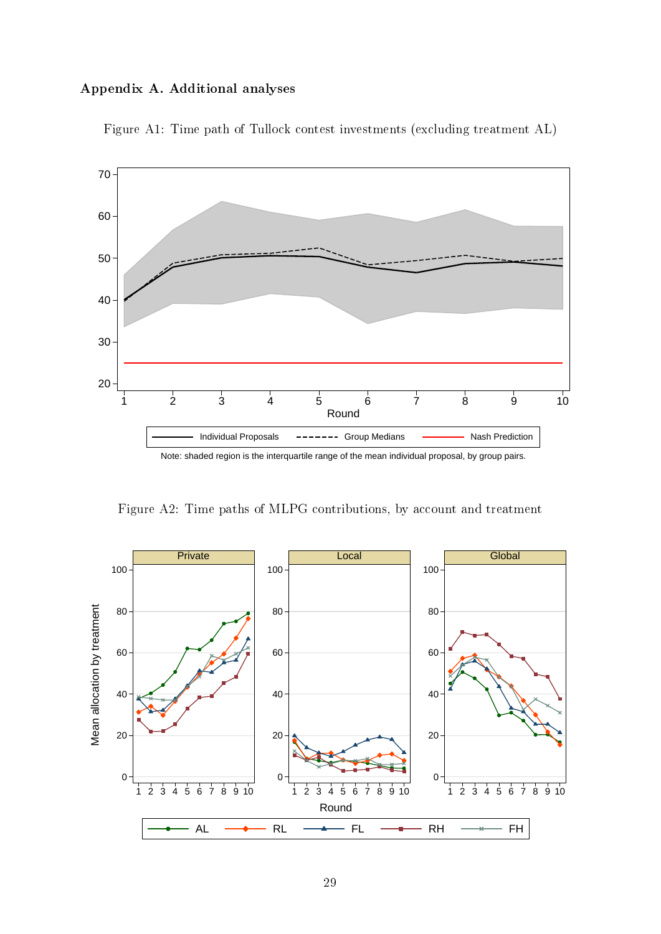### Appendix A. Additional analyses



Figure A1: Time path of Tullock contest investments (excluding treatment AL)

Figure A2: Time paths of MLPG contributions, by account and treatment

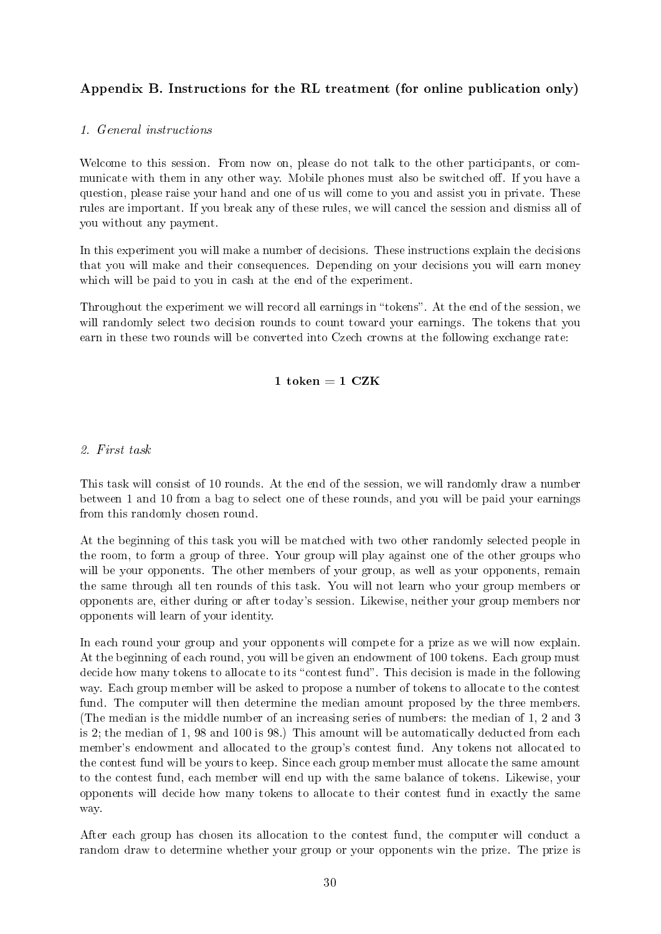### Appendix B. Instructions for the RL treatment (for online publication only)

### 1. General instructions

Welcome to this session. From now on, please do not talk to the other participants, or communicate with them in any other way. Mobile phones must also be switched off. If you have a question, please raise your hand and one of us will come to you and assist you in private. These rules are important. If you break any of these rules, we will cancel the session and dismiss all of you without any payment.

In this experiment you will make a number of decisions. These instructions explain the decisions that you will make and their consequences. Depending on your decisions you will earn money which will be paid to you in cash at the end of the experiment.

Throughout the experiment we will record all earnings in "tokens". At the end of the session, we will randomly select two decision rounds to count toward your earnings. The tokens that you earn in these two rounds will be converted into Czech crowns at the following exchange rate:

### $1$  token =  $1$  CZK

### 2. First task

This task will consist of 10 rounds. At the end of the session, we will randomly draw a number between 1 and 10 from a bag to select one of these rounds, and you will be paid your earnings from this randomly chosen round.

At the beginning of this task you will be matched with two other randomly selected people in the room, to form a group of three. Your group will play against one of the other groups who will be your opponents. The other members of your group, as well as your opponents, remain the same through all ten rounds of this task. You will not learn who your group members or opponents are, either during or after today's session. Likewise, neither your group members nor opponents will learn of your identity.

In each round your group and your opponents will compete for a prize as we will now explain. At the beginning of each round, you will be given an endowment of 100 tokens. Each group must decide how many tokens to allocate to its "contest fund". This decision is made in the following way. Each group member will be asked to propose a number of tokens to allocate to the contest fund. The computer will then determine the median amount proposed by the three members. (The median is the middle number of an increasing series of numbers: the median of 1, 2 and 3 is 2; the median of 1, 98 and 100 is 98.) This amount will be automatically deducted from each member's endowment and allocated to the group's contest fund. Any tokens not allocated to the contest fund will be yours to keep. Since each group member must allocate the same amount to the contest fund, each member will end up with the same balance of tokens. Likewise, your opponents will decide how many tokens to allocate to their contest fund in exactly the same way.

After each group has chosen its allocation to the contest fund, the computer will conduct a random draw to determine whether your group or your opponents win the prize. The prize is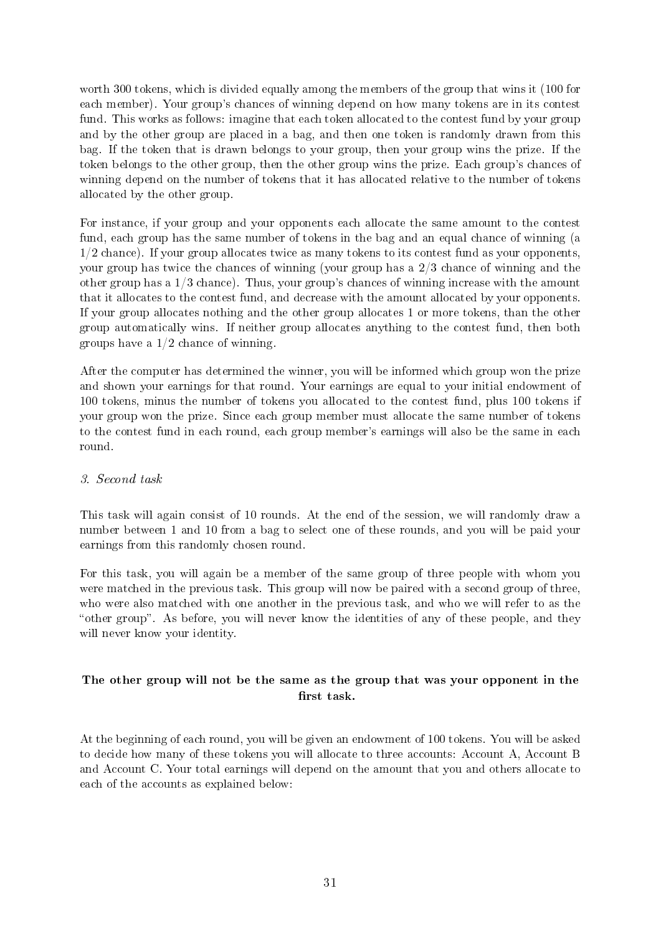worth 300 tokens, which is divided equally among the members of the group that wins it (100 for each member). Your group's chances of winning depend on how many tokens are in its contest fund. This works as follows: imagine that each token allocated to the contest fund by your group and by the other group are placed in a bag, and then one token is randomly drawn from this bag. If the token that is drawn belongs to your group, then your group wins the prize. If the token belongs to the other group, then the other group wins the prize. Each group's chances of winning depend on the number of tokens that it has allocated relative to the number of tokens allocated by the other group.

For instance, if your group and your opponents each allocate the same amount to the contest fund, each group has the same number of tokens in the bag and an equal chance of winning (a  $1/2$  chance). If your group allocates twice as many tokens to its contest fund as your opponents, your group has twice the chances of winning (your group has a 2/3 chance of winning and the other group has a 1/3 chance). Thus, your group's chances of winning increase with the amount that it allocates to the contest fund, and decrease with the amount allocated by your opponents. If your group allocates nothing and the other group allocates 1 or more tokens, than the other group automatically wins. If neither group allocates anything to the contest fund, then both groups have a  $1/2$  chance of winning.

After the computer has determined the winner, you will be informed which group won the prize and shown your earnings for that round. Your earnings are equal to your initial endowment of 100 tokens, minus the number of tokens you allocated to the contest fund, plus 100 tokens if your group won the prize. Since each group member must allocate the same number of tokens to the contest fund in each round, each group member's earnings will also be the same in each round.

### 3. Second task

This task will again consist of 10 rounds. At the end of the session, we will randomly draw a number between 1 and 10 from a bag to select one of these rounds, and you will be paid your earnings from this randomly chosen round.

For this task, you will again be a member of the same group of three people with whom you were matched in the previous task. This group will now be paired with a second group of three, who were also matched with one another in the previous task, and who we will refer to as the "other group". As before, you will never know the identities of any of these people, and they will never know your identity.

### The other group will not be the same as the group that was your opponent in the first task.

At the beginning of each round, you will be given an endowment of 100 tokens. You will be asked to decide how many of these tokens you will allocate to three accounts: Account A, Account B and Account C. Your total earnings will depend on the amount that you and others allocate to each of the accounts as explained below: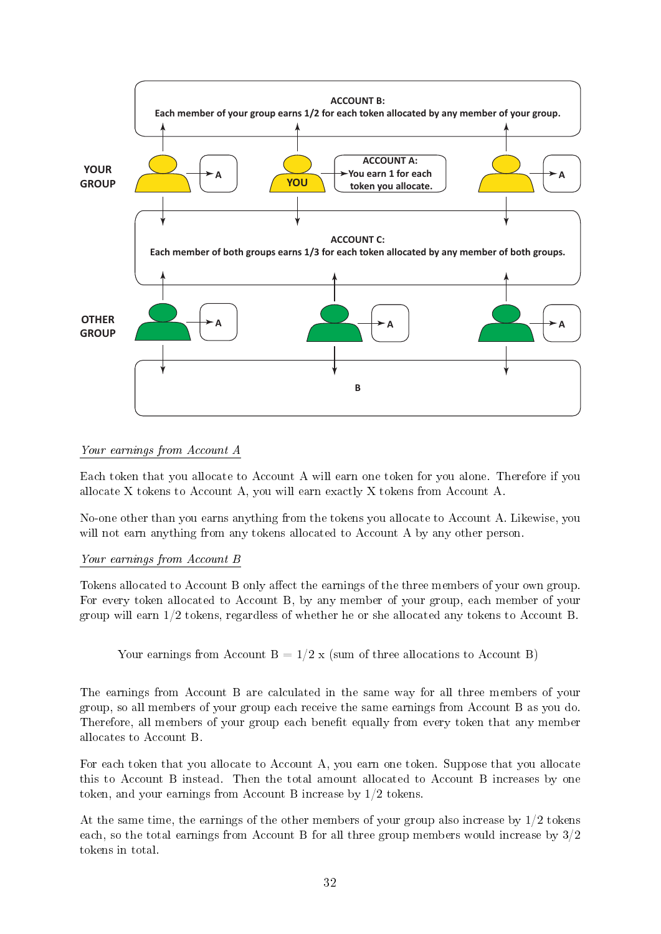

### Your earnings from Account A

Each token that you allocate to Account A will earn one token for you alone. Therefore if you allocate X tokens to Account A, you will earn exactly X tokens from Account A.

No-one other than you earns anything from the tokens you allocate to Account A. Likewise, you will not earn anything from any tokens allocated to Account A by any other person.

### Your earnings from Account B

Tokens allocated to Account B only affect the earnings of the three members of your own group. For every token allocated to Account B, by any member of your group, each member of your group will earn 1/2 tokens, regardless of whether he or she allocated any tokens to Account B.

Your earnings from Account  $B = 1/2$  x (sum of three allocations to Account B)

The earnings from Account B are calculated in the same way for all three members of your group, so all members of your group each receive the same earnings from Account B as you do. Therefore, all members of your group each benefit equally from every token that any member allocates to Account B.

For each token that you allocate to Account A, you earn one token. Suppose that you allocate this to Account B instead. Then the total amount allocated to Account B increases by one token, and your earnings from Account B increase by 1/2 tokens.

At the same time, the earnings of the other members of your group also increase by  $1/2$  tokens each, so the total earnings from Account B for all three group members would increase by 3/2 tokens in total.